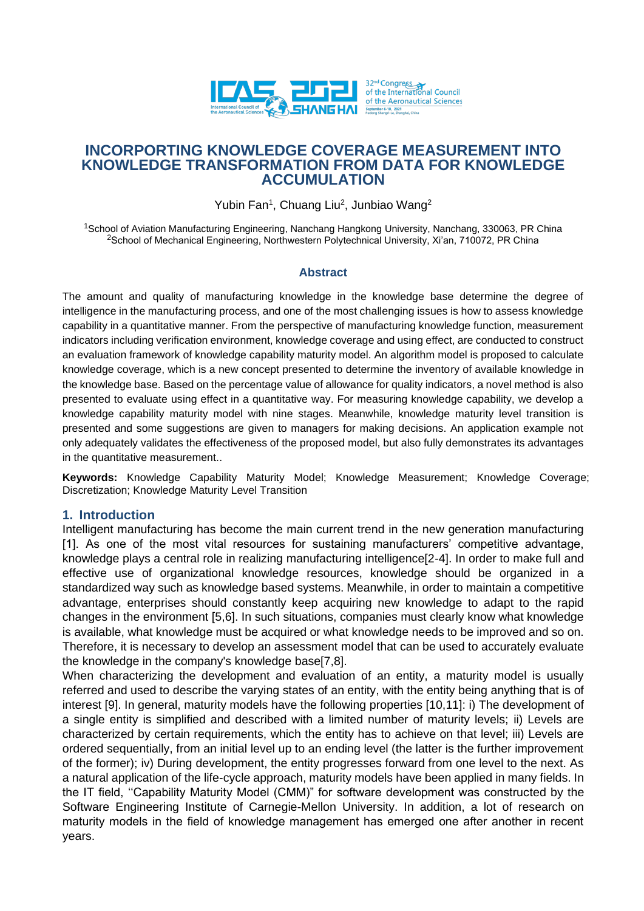

# **INCORPORTING KNOWLEDGE COVERAGE MEASUREMENT INTO KNOWLEDGE TRANSFORMATION FROM DATA FOR KNOWLEDGE ACCUMULATION**

Yubin Fan<sup>1</sup>, Chuang Liu<sup>2</sup>, Junbiao Wang<sup>2</sup>

<sup>1</sup>School of Aviation Manufacturing Engineering, Nanchang Hangkong University, Nanchang, 330063, PR China <sup>2</sup>School of Mechanical Engineering, Northwestern Polytechnical University, Xi'an, 710072, PR China

### **Abstract**

The amount and quality of manufacturing knowledge in the knowledge base determine the degree of intelligence in the manufacturing process, and one of the most challenging issues is how to assess knowledge capability in a quantitative manner. From the perspective of manufacturing knowledge function, measurement indicators including verification environment, knowledge coverage and using effect, are conducted to construct an evaluation framework of knowledge capability maturity model. An algorithm model is proposed to calculate knowledge coverage, which is a new concept presented to determine the inventory of available knowledge in the knowledge base. Based on the percentage value of allowance for quality indicators, a novel method is also presented to evaluate using effect in a quantitative way. For measuring knowledge capability, we develop a knowledge capability maturity model with nine stages. Meanwhile, knowledge maturity level transition is presented and some suggestions are given to managers for making decisions. An application example not only adequately validates the effectiveness of the proposed model, but also fully demonstrates its advantages in the quantitative measurement..

**Keywords:** Knowledge Capability Maturity Model; Knowledge Measurement; Knowledge Coverage; Discretization; Knowledge Maturity Level Transition

### **1. Introduction**

Intelligent manufacturing has become the main current trend in the new generation manufacturing [1]. As one of the most vital resources for sustaining manufacturers' competitive advantage, knowledge plays a central role in realizing manufacturing intelligence[2-4]. In order to make full and effective use of organizational knowledge resources, knowledge should be organized in a standardized way such as knowledge based systems. Meanwhile, in order to maintain a competitive advantage, enterprises should constantly keep acquiring new knowledge to adapt to the rapid changes in the environment [5,6]. In such situations, companies must clearly know what knowledge is available, what knowledge must be acquired or what knowledge needs to be improved and so on. Therefore, it is necessary to develop an assessment model that can be used to accurately evaluate the knowledge in the company's knowledge base[7,8].

When characterizing the development and evaluation of an entity, a maturity model is usually referred and used to describe the varying states of an entity, with the entity being anything that is of interest [9]. In general, maturity models have the following properties [10,11]: i) The development of a single entity is simplified and described with a limited number of maturity levels; ii) Levels are characterized by certain requirements, which the entity has to achieve on that level; iii) Levels are ordered sequentially, from an initial level up to an ending level (the latter is the further improvement of the former); iv) During development, the entity progresses forward from one level to the next. As a natural application of the life-cycle approach, maturity models have been applied in many fields. In the IT field, ''Capability Maturity Model (CMM)" for software development was constructed by the Software Engineering Institute of Carnegie-Mellon University. In addition, a lot of research on maturity models in the field of knowledge management has emerged one after another in recent years.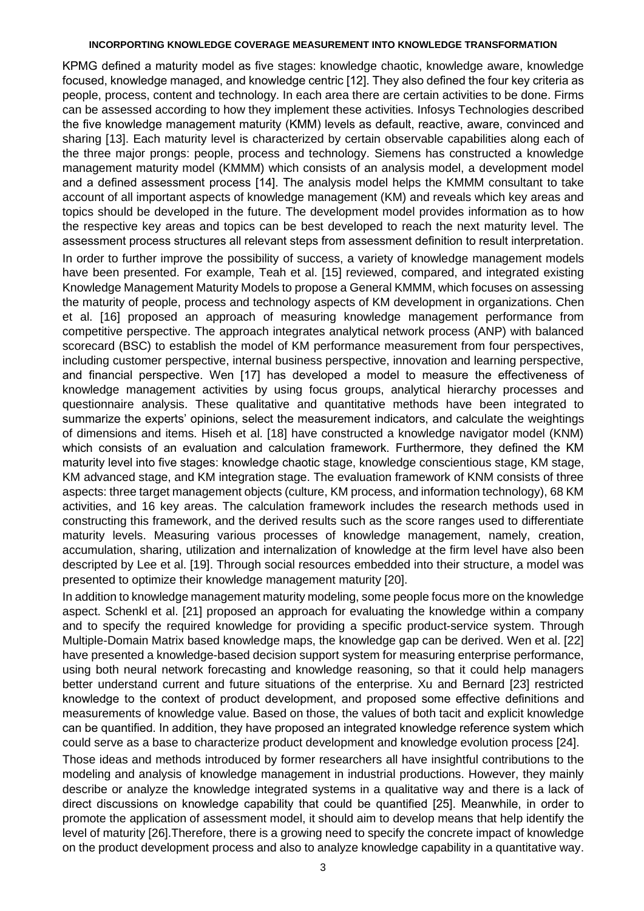KPMG defined a maturity model as five stages: knowledge chaotic, knowledge aware, knowledge focused, knowledge managed, and knowledge centric [12]. They also defined the four key criteria as people, process, content and technology. In each area there are certain activities to be done. Firms can be assessed according to how they implement these activities. Infosys Technologies described the five knowledge management maturity (KMM) levels as default, reactive, aware, convinced and sharing [13]. Each maturity level is characterized by certain observable capabilities along each of the three major prongs: people, process and technology. Siemens has constructed a knowledge management maturity model (KMMM) which consists of an analysis model, a development model and a defined assessment process [14]. The analysis model helps the KMMM consultant to take account of all important aspects of knowledge management (KM) and reveals which key areas and topics should be developed in the future. The development model provides information as to how the respective key areas and topics can be best developed to reach the next maturity level. The assessment process structures all relevant steps from assessment definition to result interpretation. In order to further improve the possibility of success, a variety of knowledge management models have been presented. For example, Teah et al. [15] reviewed, compared, and integrated existing Knowledge Management Maturity Models to propose a General KMMM, which focuses on assessing the maturity of people, process and technology aspects of KM development in organizations. Chen et al. [16] proposed an approach of measuring knowledge management performance from competitive perspective. The approach integrates analytical network process (ANP) with balanced scorecard (BSC) to establish the model of KM performance measurement from four perspectives, including customer perspective, internal business perspective, innovation and learning perspective, and financial perspective. Wen [17] has developed a model to measure the effectiveness of knowledge management activities by using focus groups, analytical hierarchy processes and questionnaire analysis. These qualitative and quantitative methods have been integrated to summarize the experts' opinions, select the measurement indicators, and calculate the weightings of dimensions and items. Hiseh et al. [18] have constructed a knowledge navigator model (KNM) which consists of an evaluation and calculation framework. Furthermore, they defined the KM maturity level into five stages: knowledge chaotic stage, knowledge conscientious stage, KM stage, KM advanced stage, and KM integration stage. The evaluation framework of KNM consists of three aspects: three target management objects (culture, KM process, and information technology), 68 KM activities, and 16 key areas. The calculation framework includes the research methods used in constructing this framework, and the derived results such as the score ranges used to differentiate maturity levels. Measuring various processes of knowledge management, namely, creation, accumulation, sharing, utilization and internalization of knowledge at the firm level have also been descripted by Lee et al. [19]. Through social resources embedded into their structure, a model was presented to optimize their knowledge management maturity [20].

In addition to knowledge management maturity modeling, some people focus more on the knowledge aspect. Schenkl et al. [21] proposed an approach for evaluating the knowledge within a company and to specify the required knowledge for providing a specific product-service system. Through Multiple-Domain Matrix based knowledge maps, the knowledge gap can be derived. Wen et al. [22] have presented a knowledge-based decision support system for measuring enterprise performance, using both neural network forecasting and knowledge reasoning, so that it could help managers better understand current and future situations of the enterprise. Xu and Bernard [23] restricted knowledge to the context of product development, and proposed some effective definitions and measurements of knowledge value. Based on those, the values of both tacit and explicit knowledge can be quantified. In addition, they have proposed an integrated knowledge reference system which could serve as a base to characterize product development and knowledge evolution process [24].

Those ideas and methods introduced by former researchers all have insightful contributions to the modeling and analysis of knowledge management in industrial productions. However, they mainly describe or analyze the knowledge integrated systems in a qualitative way and there is a lack of direct discussions on knowledge capability that could be quantified [25]. Meanwhile, in order to promote the application of assessment model, it should aim to develop means that help identify the level of maturity [26].Therefore, there is a growing need to specify the concrete impact of knowledge on the product development process and also to analyze knowledge capability in a quantitative way.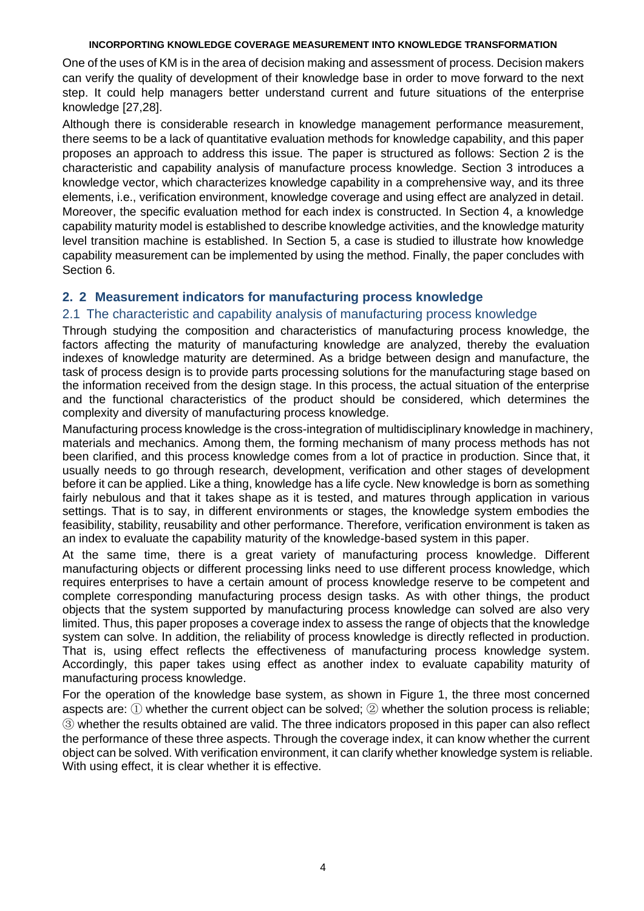One of the uses of KM is in the area of decision making and assessment of process. Decision makers can verify the quality of development of their knowledge base in order to move forward to the next step. It could help managers better understand current and future situations of the enterprise knowledge [27,28].

Although there is considerable research in knowledge management performance measurement, there seems to be a lack of quantitative evaluation methods for knowledge capability, and this paper proposes an approach to address this issue. The paper is structured as follows: Section 2 is the characteristic and capability analysis of manufacture process knowledge. Section 3 introduces a knowledge vector, which characterizes knowledge capability in a comprehensive way, and its three elements, i.e., verification environment, knowledge coverage and using effect are analyzed in detail. Moreover, the specific evaluation method for each index is constructed. In Section 4, a knowledge capability maturity model is established to describe knowledge activities, and the knowledge maturity level transition machine is established. In Section 5, a case is studied to illustrate how knowledge capability measurement can be implemented by using the method. Finally, the paper concludes with Section 6.

# **2. 2 Measurement indicators for manufacturing process knowledge**

# 2.1 The characteristic and capability analysis of manufacturing process knowledge

Through studying the composition and characteristics of manufacturing process knowledge, the factors affecting the maturity of manufacturing knowledge are analyzed, thereby the evaluation indexes of knowledge maturity are determined. As a bridge between design and manufacture, the task of process design is to provide parts processing solutions for the manufacturing stage based on the information received from the design stage. In this process, the actual situation of the enterprise and the functional characteristics of the product should be considered, which determines the complexity and diversity of manufacturing process knowledge.

Manufacturing process knowledge is the cross-integration of multidisciplinary knowledge in machinery, materials and mechanics. Among them, the forming mechanism of many process methods has not been clarified, and this process knowledge comes from a lot of practice in production. Since that, it usually needs to go through research, development, verification and other stages of development before it can be applied. Like a thing, knowledge has a life cycle. New knowledge is born as something fairly nebulous and that it takes shape as it is tested, and matures through application in various settings. That is to say, in different environments or stages, the knowledge system embodies the feasibility, stability, reusability and other performance. Therefore, verification environment is taken as an index to evaluate the capability maturity of the knowledge-based system in this paper.

At the same time, there is a great variety of manufacturing process knowledge. Different manufacturing objects or different processing links need to use different process knowledge, which requires enterprises to have a certain amount of process knowledge reserve to be competent and complete corresponding manufacturing process design tasks. As with other things, the product objects that the system supported by manufacturing process knowledge can solved are also very limited. Thus, this paper proposes a coverage index to assess the range of objects that the knowledge system can solve. In addition, the reliability of process knowledge is directly reflected in production. That is, using effect reflects the effectiveness of manufacturing process knowledge system. Accordingly, this paper takes using effect as another index to evaluate capability maturity of manufacturing process knowledge.

For the operation of the knowledge base system, as shown in Figure 1, the three most concerned aspects are: ① whether the current object can be solved; ② whether the solution process is reliable; ③ whether the results obtained are valid. The three indicators proposed in this paper can also reflect the performance of these three aspects. Through the coverage index, it can know whether the current object can be solved. With verification environment, it can clarify whether knowledge system is reliable. With using effect, it is clear whether it is effective.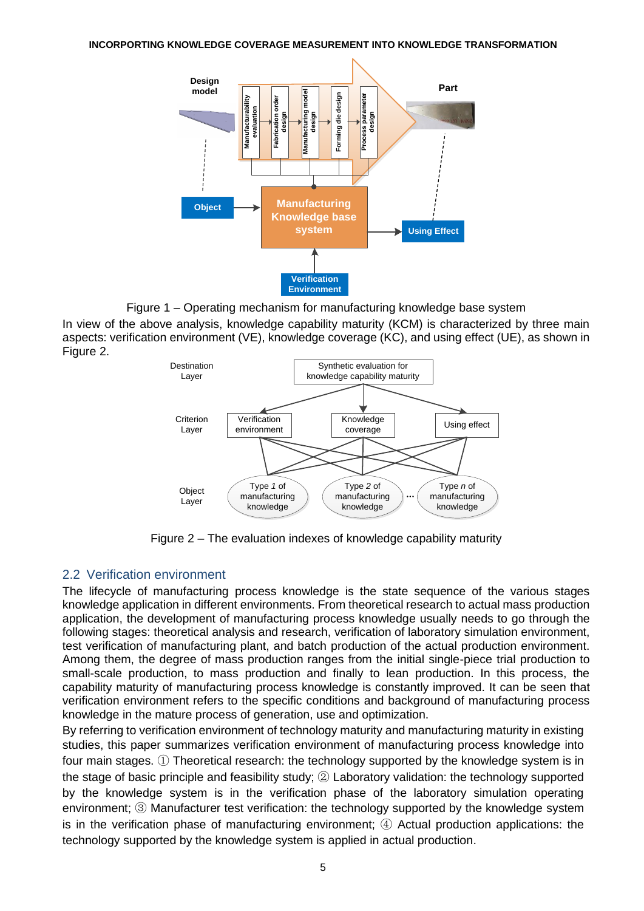

Figure 1 – Operating mechanism for manufacturing knowledge base system

In view of the above analysis, knowledge capability maturity (KCM) is characterized by three main aspects: verification environment (VE), knowledge coverage (KC), and using effect (UE), as shown in Figure 2.



Figure 2 – The evaluation indexes of knowledge capability maturity

# 2.2 Verification environment

The lifecycle of manufacturing process knowledge is the state sequence of the various stages knowledge application in different environments. From theoretical research to actual mass production application, the development of manufacturing process knowledge usually needs to go through the following stages: theoretical analysis and research, verification of laboratory simulation environment, test verification of manufacturing plant, and batch production of the actual production environment. Among them, the degree of mass production ranges from the initial single-piece trial production to small-scale production, to mass production and finally to lean production. In this process, the capability maturity of manufacturing process knowledge is constantly improved. It can be seen that verification environment refers to the specific conditions and background of manufacturing process knowledge in the mature process of generation, use and optimization.

By referring to verification environment of technology maturity and manufacturing maturity in existing studies, this paper summarizes verification environment of manufacturing process knowledge into four main stages. ① Theoretical research: the technology supported by the knowledge system is in the stage of basic principle and feasibility study; ② Laboratory validation: the technology supported by the knowledge system is in the verification phase of the laboratory simulation operating environment; ③ Manufacturer test verification: the technology supported by the knowledge system is in the verification phase of manufacturing environment; ④ Actual production applications: the technology supported by the knowledge system is applied in actual production.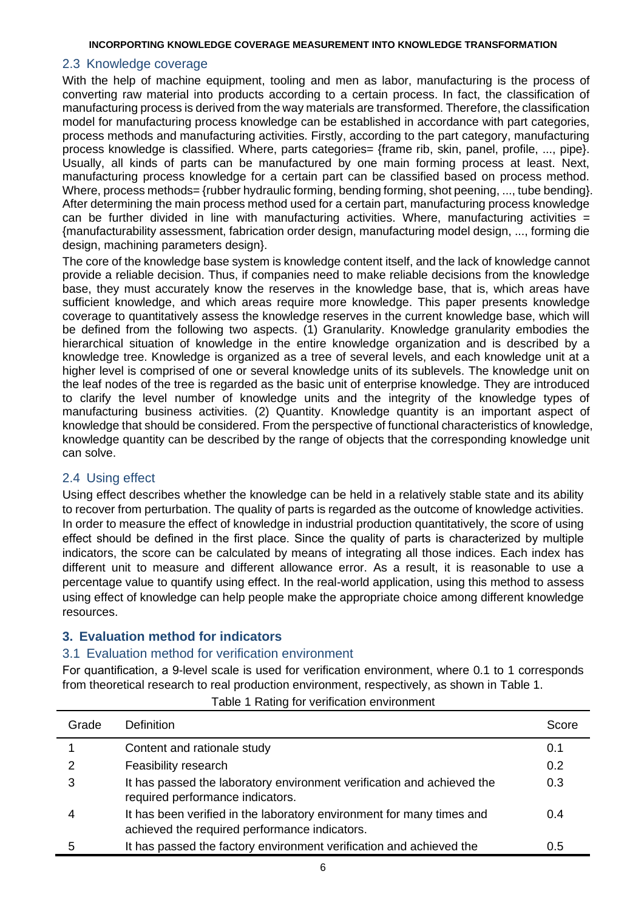## 2.3 Knowledge coverage

With the help of machine equipment, tooling and men as labor, manufacturing is the process of converting raw material into products according to a certain process. In fact, the classification of manufacturing process is derived from the way materials are transformed. Therefore, the classification model for manufacturing process knowledge can be established in accordance with part categories, process methods and manufacturing activities. Firstly, according to the part category, manufacturing process knowledge is classified. Where, parts categories= {frame rib, skin, panel, profile, ..., pipe}. Usually, all kinds of parts can be manufactured by one main forming process at least. Next, manufacturing process knowledge for a certain part can be classified based on process method. Where, process methods= {rubber hydraulic forming, bending forming, shot peening, ..., tube bending}. After determining the main process method used for a certain part, manufacturing process knowledge can be further divided in line with manufacturing activities. Where, manufacturing activities  $=$ {manufacturability assessment, fabrication order design, manufacturing model design, ..., forming die design, machining parameters design}.

The core of the knowledge base system is knowledge content itself, and the lack of knowledge cannot provide a reliable decision. Thus, if companies need to make reliable decisions from the knowledge base, they must accurately know the reserves in the knowledge base, that is, which areas have sufficient knowledge, and which areas require more knowledge. This paper presents knowledge coverage to quantitatively assess the knowledge reserves in the current knowledge base, which will be defined from the following two aspects. (1) Granularity. Knowledge granularity embodies the hierarchical situation of knowledge in the entire knowledge organization and is described by a knowledge tree. Knowledge is organized as a tree of several levels, and each knowledge unit at a higher level is comprised of one or several knowledge units of its sublevels. The knowledge unit on the leaf nodes of the tree is regarded as the basic unit of enterprise knowledge. They are introduced to clarify the level number of knowledge units and the integrity of the knowledge types of manufacturing business activities. (2) Quantity. Knowledge quantity is an important aspect of knowledge that should be considered. From the perspective of functional characteristics of knowledge, knowledge quantity can be described by the range of objects that the corresponding knowledge unit can solve.

## 2.4 Using effect

Using effect describes whether the knowledge can be held in a relatively stable state and its ability to recover from perturbation. The quality of parts is regarded as the outcome of knowledge activities. In order to measure the effect of knowledge in industrial production quantitatively, the score of using effect should be defined in the first place. Since the quality of parts is characterized by multiple indicators, the score can be calculated by means of integrating all those indices. Each index has different unit to measure and different allowance error. As a result, it is reasonable to use a percentage value to quantify using effect. In the real-world application, using this method to assess using effect of knowledge can help people make the appropriate choice among different knowledge resources.

# **3. Evaluation method for indicators**

## 3.1 Evaluation method for verification environment

For quantification, a 9-level scale is used for verification environment, where 0.1 to 1 corresponds from theoretical research to real production environment, respectively, as shown in Table 1.

| Grade | Definition                                                                                                             | Score |
|-------|------------------------------------------------------------------------------------------------------------------------|-------|
|       | Content and rationale study                                                                                            | 0.1   |
| 2     | Feasibility research                                                                                                   | 0.2   |
| 3     | It has passed the laboratory environment verification and achieved the<br>required performance indicators.             | 0.3   |
|       | It has been verified in the laboratory environment for many times and<br>achieved the required performance indicators. | 0.4   |
|       | It has passed the factory environment verification and achieved the                                                    | 0.5   |

Table 1 Rating for verification environment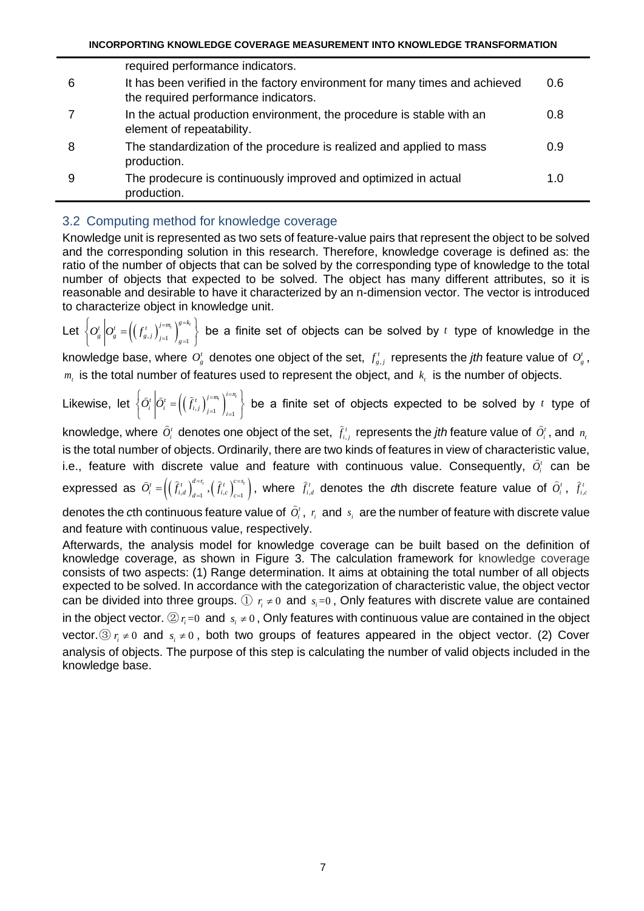|   | required performance indicators.                                                                                    |             |
|---|---------------------------------------------------------------------------------------------------------------------|-------------|
| 6 | It has been verified in the factory environment for many times and achieved<br>the required performance indicators. | 0.6         |
|   | In the actual production environment, the procedure is stable with an<br>element of repeatability.                  | 0.8         |
| 8 | The standardization of the procedure is realized and applied to mass<br>production.                                 | 0.9         |
| 9 | The prodecure is continuously improved and optimized in actual<br>production.                                       | 1. $\Omega$ |

# 3.2 Computing method for knowledge coverage

Knowledge unit is represented as two sets of feature-value pairs that represent the object to be solved and the corresponding solution in this research. Therefore, knowledge coverage is defined as: the ratio of the number of objects that can be solved by the corresponding type of knowledge to the total number of objects that expected to be solved. The object has many different attributes, so it is reasonable and desirable to have it characterized by an n-dimension vector. The vector is introduced to characterize object in knowledge unit.

Let  $\left\{O_{g}^{t}\middle| O_{g}^{t}=\left(\left(f_{g,j}^{t}\right)_{j=1}^{j=m_{t}}\right)_{g=1}^{g=k_{t}}\right\}$  $O_{g}^{t}$  $\left| O_{g}^{t} \right| = \left( \left( f_{g,j}^{t} \right)_{j=1}^{j=m_{t}} \right)_{g=1}^{g=1}$  $\left\{O_{g}^{t}\left|O_{g}^{t}=\left(\left(f_{g,j}^{t}\right)_{j=1}^{j=m_{t}}\right)_{g=1}^{g=k_{t}}\right\}\right\}$  b  $\left\{\theta_s^t\middle|\theta_s^t=\left(\left(f_{s,j}^t\right)_{j=1}^{j=m_t}\right)_{s=1}^N\right\}$  be a finite set of objects can be solved by t type of knowledge in the knowledge base, where  $O_g^t$  denotes one object of the set,  $f_{g,j}^t$  represents the *jth* feature value of  $O_g^t$ ,  $m<sub>t</sub>$  is the total number of features used to represent the object, and  $k<sub>t</sub>$  is the number of objects.

Likewise, let  $\left\{\widehat{O}_{i}^{t}\left|\widehat{O}_{i}^{t}=\left(\left(\widehat{f}_{i,j}^{t}\right)_{j=1}^{j=m_{t}}\right)_{i=1}^{i=n_{t}}\right.\right.$  $\left\{\widehat{O}_{i}^{t}\left|\widehat{O}_{i}^{t}=\left(\left(\widehat{f}_{i,j}^{t}\right)_{j=1}^{j=m_{t}}\right)_{i=1}^{i=n_{t}}\right.\right\}$  **t**  $\left\{\overline{O_i^t}\middle|\overline{O_i^t}=\left(\left(\overline{f_{i,j}^t}\right)_{j=1}^{t_{i,j}}\right)\right\}$  be a finite set of objects expected to be solved by t type of

knowledge, where  $O_i^t$  denotes one object of the set,  $f_{i,j}^t$  represents the *jth* feature value of  $O_i^t$ , and  $n_i$ is the total number of objects. Ordinarily, there are two kinds of features in view of characteristic value, i.e., feature with discrete value and feature with continuous value. Consequently,  $\tilde{O}_i^t$  can be  $\textsf{expressed as }\widehat{O}_{i}^{t} = \left(\left(\widehat{f}_{i,d}^{t}\right)_{d=1}^{d=\mathit{r}_{i}},\left(\widehat{f}_{i,c}^{t}\right)_{c=1}^{c=s_{i}}\right),$  $=\left(\left(\widehat{f}_{i,d}^t\right)_{d=1}^{a=r_i},\left(\widehat{f}_{i,c}^t\right)_{c=1}^{c=s_r}\right),$  where  $\widehat{f}_{i,d}^t$  denotes the *d*th discrete feature value of  $\widehat{O}_i^t$ ,  $\widehat{f}_{i,c}^t$ 

denotes the cth continuous feature value of  $\hat{O}_i^t$ ,  $r_i$  and  $s_i$  are the number of feature with discrete value and feature with continuous value, respectively.

Afterwards, the analysis model for knowledge coverage can be built based on the definition of knowledge coverage, as shown in Figure 3. The calculation framework for knowledge coverage consists of two aspects: (1) Range determination. It aims at obtaining the total number of all objects expected to be solved. In accordance with the categorization of characteristic value, the object vector can be divided into three groups.  $\textcircled{1}$   $r_i \neq 0$  and  $s_i = 0$ , Only features with discrete value are contained in the object vector.  $\textcircled{2}$   $r_i$ =0 and  $s_i \neq 0$ , Only features with continuous value are contained in the object vector.  $\textcircled{3}$   $r_i \neq 0$  and  $s_i \neq 0$ , both two groups of features appeared in the object vector. (2) Cover analysis of objects. The purpose of this step is calculating the number of valid objects included in the knowledge base.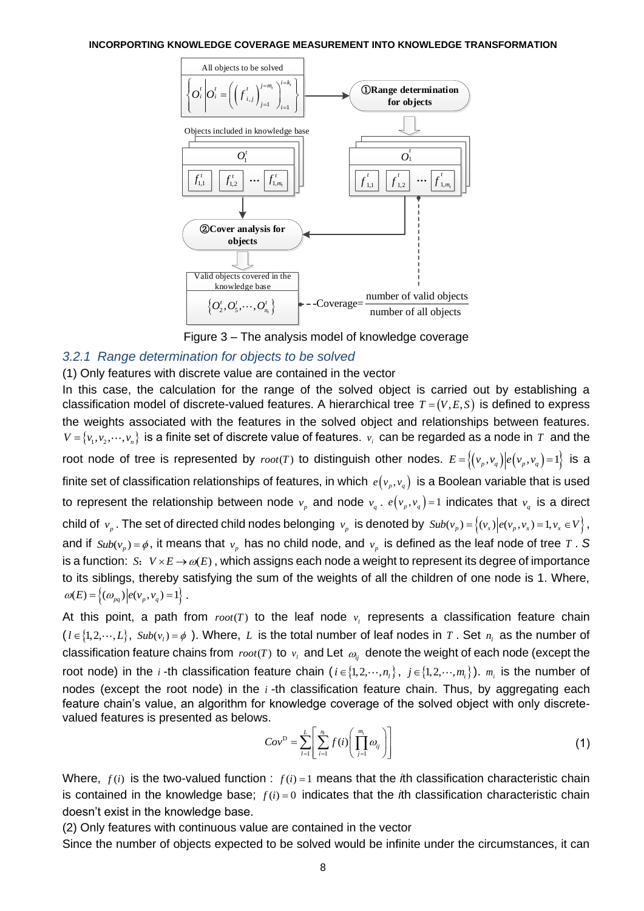

Figure 3 – The analysis model of knowledge coverage

# *3.2.1 Range determination for objects to be solved*

## (1) Only features with discrete value are contained in the vector

In this case, the calculation for the range of the solved object is carried out by establishing a classification model of discrete-valued features. A hierarchical tree  $T = (V, E, S)$  is defined to express the weights associated with the features in the solved object and relationships between features.  $V = \{v_1, v_2, \cdots, v_n\}$  is a finite set of discrete value of features.  $v_i$  can be regarded as a node in  $T$  and the root node of tree is represented by  $root(T)$  to distinguish other nodes.  $E = \{(v_p, v_q) | e(v_p, v_q) = 1\}$  is a finite set of classification relationships of features, in which  $e(v_p,v_q)$  is a Boolean variable that is used to represent the relationship between node  $v_p$  and node  $v_q$ .  $e(v_p, v_q)$ =1 indicates that  $v_q$  is a direct child of  $v_p$ . The set of directed child nodes belonging  $v_p$  is denoted by  $Sub(v_p) = \{(v_x) | e(v_p, v_x) = 1, v_x \in V\}$ , and if  $\textit{Sub}(v_p) = \phi$ , it means that  $v_p$  has no child node, and  $v_p$  is defined as the leaf node of tree T. S is a function:  $S: V \times E \rightarrow \omega(E)$ , which assigns each node a weight to represent its degree of importance to its siblings, thereby satisfying the sum of the weights of all the children of one node is 1. Where,  $\omega(E) = \left\{ (\omega_{pq}) \Big| e(\nu_p, \nu_q) = 1 \right\}.$ 

At this point, a path from  $root(T)$  to the leaf node  $v<sub>i</sub>$  represents a classification feature chain  $l \in \{1, 2, \dots, L\}$ ,  $Sub(v_i) = \phi$ ). Where, L is the total number of leaf nodes in T. Set  $n_i$  as the number of classification feature chains from  $\mathit{root}(T)$  to  $\mathit{v}_t$  and Let  $\mathit{\omega}_{ij}$  denote the weight of each node (except the root node) in the *i*-th classification feature chain ( $i \in \{1,2,\dots,n_i\}$ ,  $j \in \{1,2,\dots,m_i\}$ ).  $m_i$  is the number of nodes (except the root node) in the *i* -th classification feature chain. Thus, by aggregating each feature chain's value, an algorithm for knowledge coverage of the solved object with only discretevalued features is presented as belows.

$$
Cov^D = \sum_{l=1}^{L} \left[ \sum_{i=1}^{n_l} f(i) \left( \prod_{j=1}^{m_i} \omega_{ij} \right) \right]
$$
(1)

Where,  $f(i)$  is the two-valued function :  $f(i) = 1$  means that the *i*th classification characteristic chain is contained in the knowledge base;  $f(i) = 0$  indicates that the  $i$ th classification characteristic chain doesn't exist in the knowledge base.

(2) Only features with continuous value are contained in the vector

Since the number of objects expected to be solved would be infinite under the circumstances, it can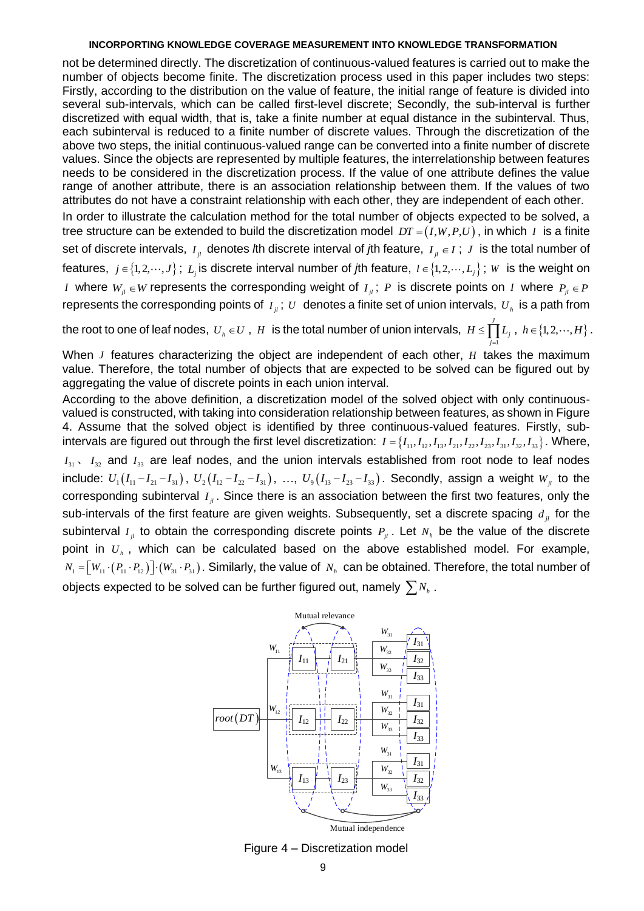not be determined directly. The discretization of continuous-valued features is carried out to make the number of objects become finite. The discretization process used in this paper includes two steps: Firstly, according to the distribution on the value of feature, the initial range of feature is divided into several sub-intervals, which can be called first-level discrete; Secondly, the sub-interval is further discretized with equal width, that is, take a finite number at equal distance in the subinterval. Thus, each subinterval is reduced to a finite number of discrete values. Through the discretization of the above two steps, the initial continuous-valued range can be converted into a finite number of discrete values. Since the objects are represented by multiple features, the interrelationship between features needs to be considered in the discretization process. If the value of one attribute defines the value range of another attribute, there is an association relationship between them. If the values of two attributes do not have a constraint relationship with each other, they are independent of each other.

In order to illustrate the calculation method for the total number of objects expected to be solved, a tree structure can be extended to build the discretization model  $DT$  =  $(I, W, P, U)$  , in which I is a finite set of discrete intervals,  $I_{jl}$  denotes *l*th discrete interval of *j*th feature,  $I_{jl} \in I$  ;  $J$  is the total number of features,  $j \in \{1,2,\cdots,J\}$ ;  $L_j$  is discrete interval number of *j*th feature,  $l \in \{1,2,\cdots,L_j\}$ ;  $W$  is the weight on *I* where  $W_{ji} \in W$  represents the corresponding weight of  $I_{ji}$ ;  $P$  is discrete points on  $I$  where  $P_{ji} \in P$ represents the corresponding points of  $I_{\mu}$ ;  $U$  denotes a finite set of union intervals,  $U_{\mu}$  is a path from

the root to one of leaf nodes,  $\,U_{_h} \in U \,$  ,  $\,H\,$  is the total number of union intervals,  $\,H \leq \prod'$  $H \le \prod L_j$ ,  $h \in \{1, 2, \cdots, H\}$ .

1

*j* =

When *J* features characterizing the object are independent of each other, *H* takes the maximum value. Therefore, the total number of objects that are expected to be solved can be figured out by aggregating the value of discrete points in each union interval.

According to the above definition, a discretization model of the solved object with only continuousvalued is constructed, with taking into consideration relationship between features, as shown in Figure 4. Assume that the solved object is identified by three continuous-valued features. Firstly, sub-4. Assume that the solved object is identified by three continuous-valued leatures. Firstly, sub-<br>intervals are figured out through the first level discretization:  $I = \{I_{11}, I_{12}, I_{13}, I_{21}, I_{22}, I_{23}, I_{31}, I_{32}, I_{33}\}$ . Whe  $I_{31}$ ,  $I_{32}$  and  $I_{33}$  are leaf nodes, and the union intervals established from root node to leaf nodes include:  $U_1(I_{11}-I_{21}-I_{31})$ ,  $U_2(I_{12}-I_{22}-I_{31})$ , ...,  $U_9(I_{13}-I_{23}-I_{33})$ . Secondly, assign a weight  $W_{jl}$  to the corresponding subinterval  $I_{ji}$ . Since there is an association between the first two features, only the sub-intervals of the first feature are given weights. Subsequently, set a discrete spacing  $d_{ji}$  for the subinterval  $I_{jl}$  to obtain the corresponding discrete points  $P_{jl}$ . Let  $N_h$  be the value of the discrete point in *Uh* , which can be calculated based on the above established model. For example,  $N_1 = [W_{11} \cdot (P_{11} \cdot P_{12})] \cdot (W_{31} \cdot P_{31})$ . Similarly, the value of  $N_h$  can be obtained. Therefore, the total number of objects expected to be solved can be further figured out, namely  $\sum N_h$  .



Figure 4 – Discretization model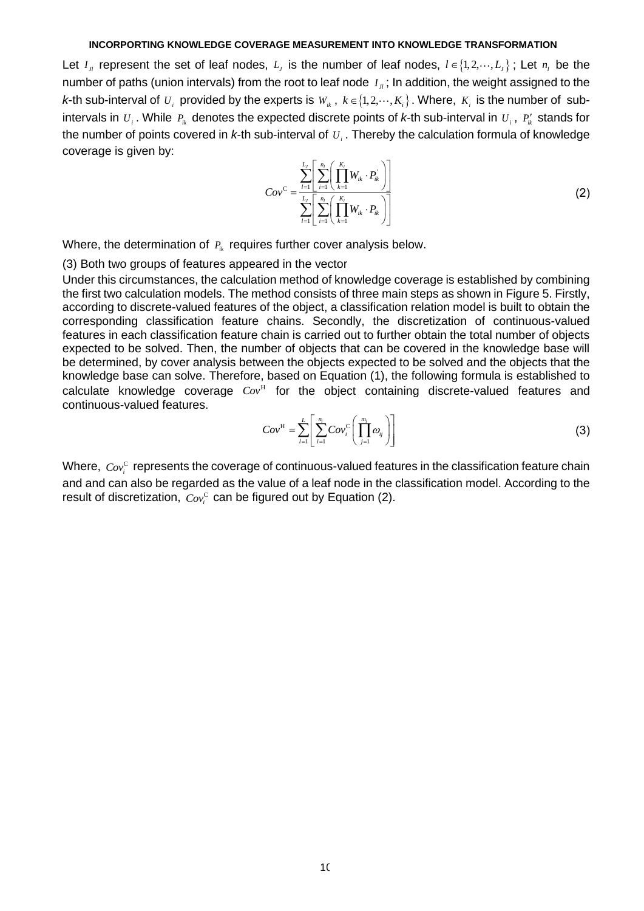Let  $I_{\mu}$  represent the set of leaf nodes,  $L_j$  is the number of leaf nodes,  $l \in \{1, 2, \cdots, L_j\}$ ; Let  $n_l$  be the number of paths (union intervals) from the root to leaf node  $I_{\mu}$ ; In addition, the weight assigned to the *k*-th sub-interval of  $U_i$  provided by the experts is  $W_{ik}$ ,  $k \in \{1, 2, \dots, K_i\}$ . Where,  $K_i$  is the number of subintervals in  $U_i$ . While  $P_{ik}$  denotes the expected discrete points of *k*-th sub-interval in  $U_i$ ,  $P'_{ik}$  stands for the number of points covered in *k*-th sub-interval of *Ui* . Thereby the calculation formula of knowledge coverage is given by:

$$
Cov^{C} = \frac{\sum_{l=1}^{L_j} \left[ \sum_{i=1}^{n_l} \left( \prod_{k=1}^{K_i} W_{ik} \cdot P_{ik} \right) \right]}{\sum_{l=1}^{L_j} \left[ \sum_{i=1}^{n_l} \left( \prod_{k=1}^{K_i} W_{ik} \cdot P_{ik} \right) \right]}
$$
(2)

Where, the determination of  $P_{ik}$  requires further cover analysis below.

(3) Both two groups of features appeared in the vector

Under this circumstances, the calculation method of knowledge coverage is established by combining the first two calculation models. The method consists of three main steps as shown in Figure 5. Firstly, according to discrete-valued features of the object, a classification relation model is built to obtain the corresponding classification feature chains. Secondly, the discretization of continuous-valued features in each classification feature chain is carried out to further obtain the total number of objects expected to be solved. Then, the number of objects that can be covered in the knowledge base will be determined, by cover analysis between the objects expected to be solved and the objects that the knowledge base can solve. Therefore, based on Equation (1), the following formula is established to calculate knowledge coverage  $Cov<sup>H</sup>$  for the object containing discrete-valued features and continuous-valued features.

$$
Cov^{\mathrm{H}} = \sum_{l=1}^{L} \left[ \sum_{i=1}^{n_l} Cov_i^{\mathrm{C}} \left( \prod_{j=1}^{m_i} \omega_{ij} \right) \right]
$$
(3)

Where,  $\textit{Cov}^{\text{c}}_i$  represents the coverage of continuous-valued features in the classification feature chain and and can also be regarded as the value of a leaf node in the classification model. According to the result of discretization,  $Cov_i^C$  can be figured out by Equation (2).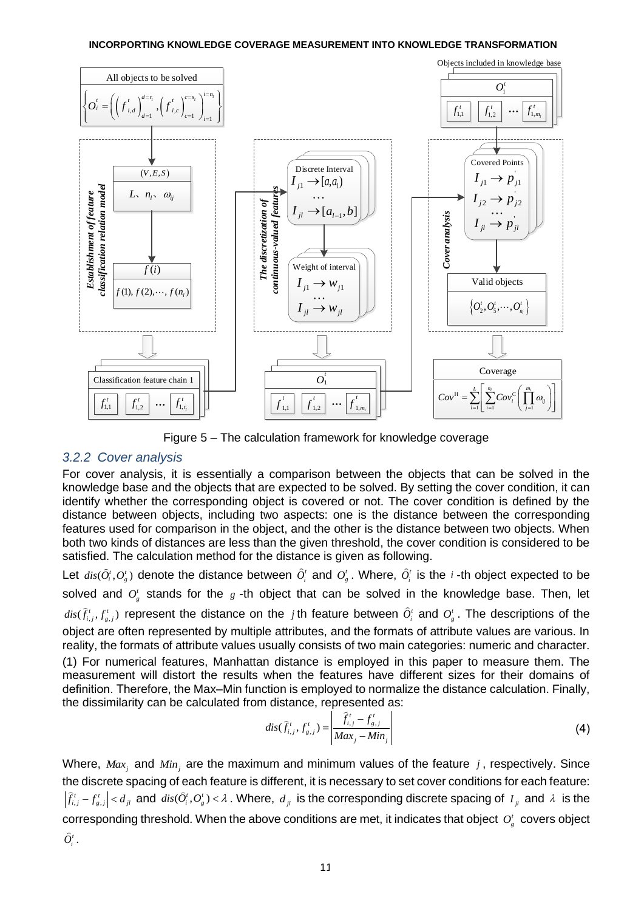

Figure 5 – The calculation framework for knowledge coverage

## *3.2.2 Cover analysis*

For cover analysis, it is essentially a comparison between the objects that can be solved in the knowledge base and the objects that are expected to be solved. By setting the cover condition, it can identify whether the corresponding object is covered or not. The cover condition is defined by the distance between objects, including two aspects: one is the distance between the corresponding features used for comparison in the object, and the other is the distance between two objects. When both two kinds of distances are less than the given threshold, the cover condition is considered to be satisfied. The calculation method for the distance is given as following.

Let  $dis(\hat{O}_i^t, O_g^t)$  denote the distance between  $\hat{O}_i^t$  and  $O_g^t$ . Where,  $\hat{O}_i^t$  is the *i*-th object expected to be solved and  $O_s^t$  stands for the  $g$  -th object that can be solved in the knowledge base. Then, let  $dis(\hat{f}_{i,j}^t, f_{s,j}^t)$  represent the distance on the *j* th feature between  $\hat{O}_i^t$  and  $O_g^t$ . The descriptions of the object are often represented by multiple attributes, and the formats of attribute values are various. In reality, the formats of attribute values usually consists of two main categories: numeric and character. (1) For numerical features, Manhattan distance is employed in this paper to measure them. The measurement will distort the results when the features have different sizes for their domains of definition. Therefore, the Max–Min function is employed to normalize the distance calculation. Finally, the dissimilarity can be calculated from distance, represented as:

$$
dis(\hat{f}_{i,j}^t, f_{g,j}^t) = \left| \frac{\hat{f}_{i,j}^t - f_{g,j}^t}{Max_j - Min_j} \right|
$$
 (4)

Where,  $Max_j$  and  $Min_j$  are the maximum and minimum values of the feature j, respectively. Since the discrete spacing of each feature is different, it is necessary to set cover conditions for each feature:  $\hat{f}_{i,j}^t-f_{s,j}^t\big|< d_{_{jl}}$  and  $dis(\hat{O}_i^t, O_s^t)<\lambda$  . Where,  $d_{_{jl}}$  is the corresponding discrete spacing of  $I_{_{jl}}$  and  $\lambda$  is the corresponding threshold. When the above conditions are met, it indicates that object  $O_g^t$  covers object  $\widetilde{O}^t_i$  .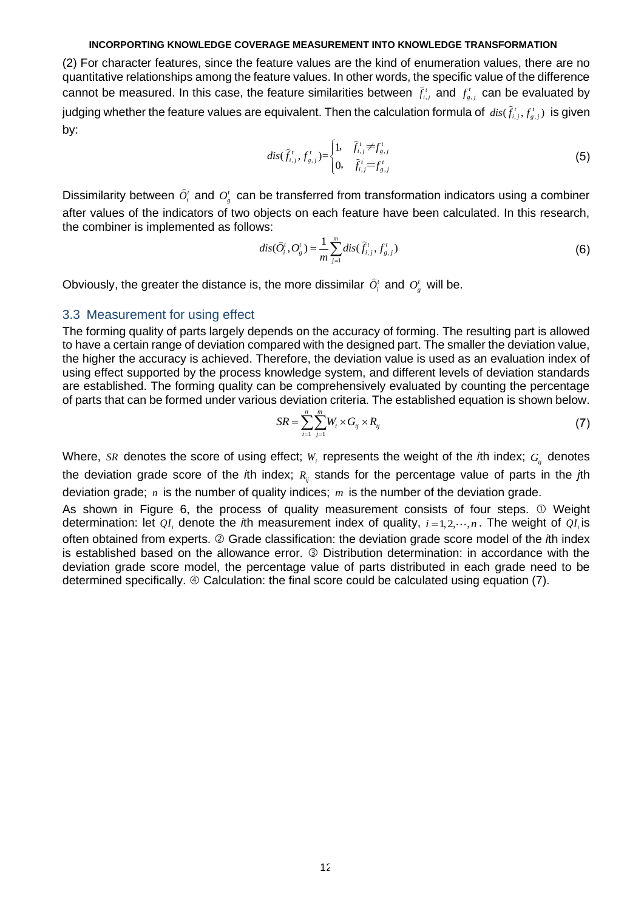(2) For character features, since the feature values are the kind of enumeration values, there are no quantitative relationships among the feature values. In other words, the specific value of the difference cannot be measured. In this case, the feature similarities between  $\hat{f}^i_{i,j}$  and  $f^i_{g,j}$  can be evaluated by judging whether the feature values are equivalent. Then the calculation formula of  $\,dis(\hat{f}_{i,j}^t, {f}_{g,j}^t)\,$  is given by:

$$
dis(\hat{f}_{i,j}^t, f_{g,j}^t) = \begin{cases} 1, & \hat{f}_{i,j}^t \neq f_{g,j}^t \\ 0, & \hat{f}_{i,j}^t = f_{g,j}^t \end{cases}
$$
(5)

Dissimilarity between  $\hat{O}_i^t$  and  $O_g^t$  can be transferred from transformation indicators using a combiner after values of the indicators of two objects on each feature have been calculated. In this research, the combiner is implemented as follows:

$$
dis(\hat{O}_{i}^{t}, O_{g}^{t}) = \frac{1}{m} \sum_{j=1}^{m} dis(\hat{f}_{i,j}^{t}, f_{g,j}^{t})
$$
(6)

Obviously, the greater the distance is, the more dissimilar  $\widehat{O}_i^t$  and  $O_g^t$  will be.

## 3.3 Measurement for using effect

The forming quality of parts largely depends on the accuracy of forming. The resulting part is allowed to have a certain range of deviation compared with the designed part. The smaller the deviation value, the higher the accuracy is achieved. Therefore, the deviation value is used as an evaluation index of using effect supported by the process knowledge system, and different levels of deviation standards are established. The forming quality can be comprehensively evaluated by counting the percentage of parts that can be formed under various deviation criteria. The established equation is shown below.

$$
SR = \sum_{i=1}^{n} \sum_{j=1}^{m} W_i \times G_{ij} \times R_{ij}
$$
 (7)

Where, s $R$  denotes the score of using effect;  $W_i$  represents the weight of the *i*th index;  $G_{ij}$  denotes the deviation grade score of the *i*th index;  $R_{ij}$  stands for the percentage value of parts in the *j*th deviation grade; *n* is the number of quality indices; *m* is the number of the deviation grade.

As shown in Figure 6, the process of quality measurement consists of four steps. Weight determination: let  $QI_i$  denote the *i*th measurement index of quality,  $i = 1, 2, \dots, n$ . The weight of  $QI_i$  is often obtained from experts. Grade classification: the deviation grade score model of the *i*th index is established based on the allowance error. <sup>3</sup> Distribution determination: in accordance with the deviation grade score model, the percentage value of parts distributed in each grade need to be determined specifically.  $\circledast$  Calculation: the final score could be calculated using equation (7).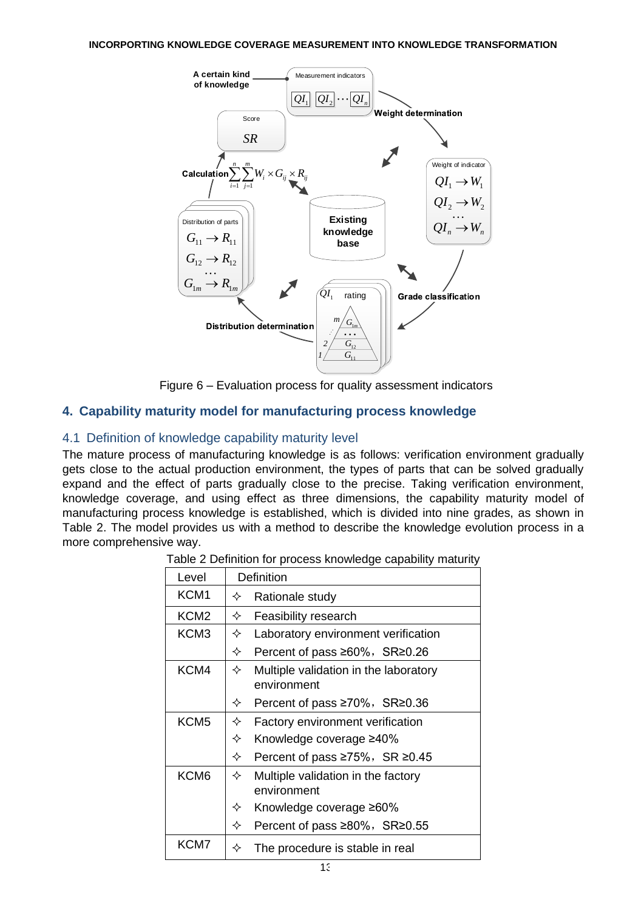

Figure 6 – Evaluation process for quality assessment indicators

# **4. Capability maturity model for manufacturing process knowledge**

## 4.1 Definition of knowledge capability maturity level

<span id="page-11-0"></span>The mature process of manufacturing knowledge is as follows: verification environment gradually gets close to the actual production environment, the types of parts that can be solved gradually expand and the effect of parts gradually close to the precise. Taking verification environment, knowledge coverage, and using effect as three dimensions, the capability maturity model of manufacturing process knowledge is established, which is divided into nine grades, as shown in Table 2. The model provides us with a method to describe the knowledge evolution process in a more comprehensive way.

| Level            | Definition                                                |  |  |  |  |
|------------------|-----------------------------------------------------------|--|--|--|--|
| KCM <sub>1</sub> | Rationale study<br>✧                                      |  |  |  |  |
| KCM <sub>2</sub> | ✧<br>Feasibility research                                 |  |  |  |  |
| KCM <sub>3</sub> | Laboratory environment verification<br>✧                  |  |  |  |  |
|                  | ✧<br>Percent of pass $\geq 60\%$ , SR $\geq 0.26$         |  |  |  |  |
| KCM4             | ✧<br>Multiple validation in the laboratory<br>environment |  |  |  |  |
|                  | Percent of pass $\geq 70\%$ , SR $\geq 0.36$<br>✧         |  |  |  |  |
| KCM <sub>5</sub> | ✧<br>Factory environment verification                     |  |  |  |  |
|                  | ✧<br>Knowledge coverage ≥40%                              |  |  |  |  |
|                  | ✧<br>Percent of pass $\geq 75\%$ , SR $\geq 0.45$         |  |  |  |  |
| KCM <sub>6</sub> | ✧<br>Multiple validation in the factory<br>environment    |  |  |  |  |
|                  | ✧<br>Knowledge coverage ≥60%                              |  |  |  |  |
|                  | Percent of pass ≥80%, SR≥0.55<br>✧                        |  |  |  |  |
| KCM7             | The procedure is stable in real<br>✧                      |  |  |  |  |

Table 2 Definition for process knowledge capability maturity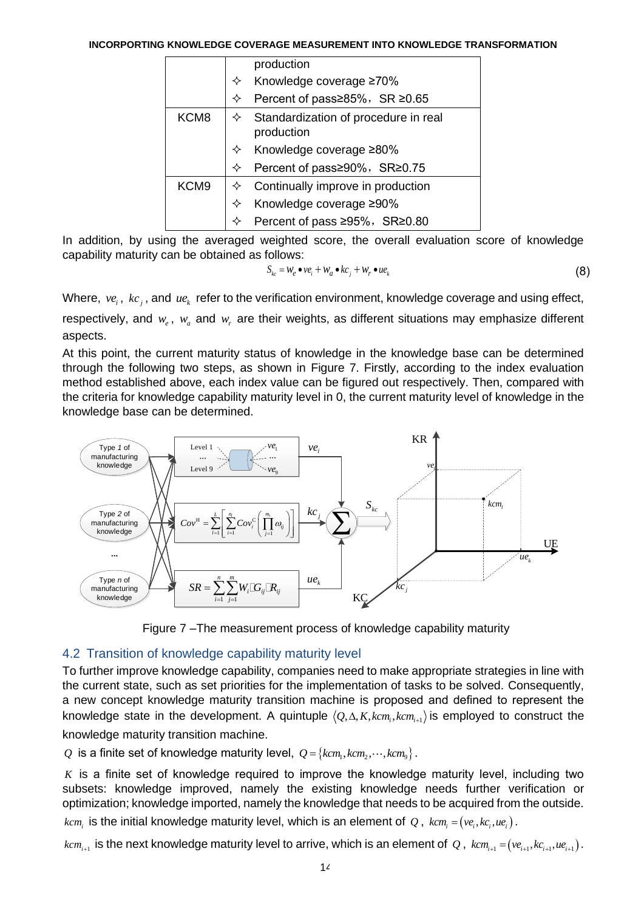|                  | production                         |                                      |  |  |  |  |
|------------------|------------------------------------|--------------------------------------|--|--|--|--|
|                  |                                    | Knowledge coverage ≥70%              |  |  |  |  |
|                  | Percent of pass≥85%, SR ≥0.65<br>✧ |                                      |  |  |  |  |
| KCM <sub>8</sub> | production                         | Standardization of procedure in real |  |  |  |  |
|                  | Knowledge coverage ≥80%            |                                      |  |  |  |  |
|                  | Percent of pass≥90%, SR≥0.75       |                                      |  |  |  |  |
| KCM <sub>9</sub> | Continually improve in production  |                                      |  |  |  |  |
|                  | Knowledge coverage ≥90%            |                                      |  |  |  |  |
|                  | Percent of pass ≥95%, SR≥0.80      |                                      |  |  |  |  |

In addition, by using the averaged weighted score, the overall evaluation score of knowledge capability maturity can be obtained as follows:

$$
S_{kc} = W_e \bullet v e_i + W_a \bullet k c_j + W_r \bullet u e_k
$$
\n(8)

Where,  $ve_i$ ,  $kc_j$ , and  $ue_k$  refer to the verification environment, knowledge coverage and using effect,

respectively, and  $w_e$ ,  $w_a$  and  $w_r$  are their weights, as different situations may emphasize different aspects.

At this point, the current maturity status of knowledge in the knowledge base can be determined through the following two steps, as shown in Figure 7. Firstly, according to the index evaluation method established above, each index value can be figured out respectively. Then, compared with the criteria for knowledge capability maturity level in [0,](#page-11-0) the current maturity level of knowledge in the knowledge base can be determined.



Figure 7 –The measurement process of knowledge capability maturity

# 4.2 Transition of knowledge capability maturity level

To further improve knowledge capability, companies need to make appropriate strategies in line with the current state, such as set priorities for the implementation of tasks to be solved. Consequently, a new concept knowledge maturity transition machine is proposed and defined to represent the knowledge state in the development. A quintuple  $\langle Q, \Delta, K, kcm_i, kcm_{i+1} \rangle$  is employed to construct the knowledge maturity transition machine.

 $Q$  is a finite set of knowledge maturity level,  $Q$  =  $\{kcm_1, kcm_2, \cdots, kcm_9\}$  .

*K* is a finite set of knowledge required to improve the knowledge maturity level, including two subsets: knowledge improved, namely the existing knowledge needs further verification or optimization; knowledge imported, namely the knowledge that needs to be acquired from the outside.

 $kcm_i$  is the initial knowledge maturity level, which is an element of  $\mathcal Q$  ,  $\mathit{kcm_i}$  = $(\mathit{ve_i}, \mathit{kc_i}, \mathit{ue_i})$  .

 $kcm_{_{i+1}}$  is the next knowledge maturity level to arrive, which is an element of  $Q$ ,  $\,km_{_{i+1}}=(ve_{i+1},kc_{_{i+1}},ue_{_{i+1}})$ .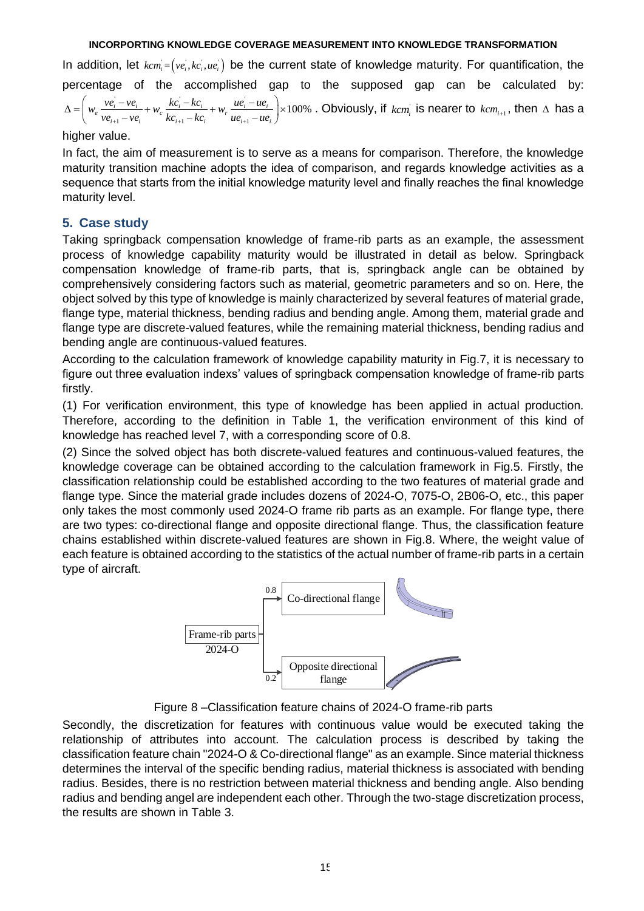In addition, let  $kcm_i = (ve_i, kc_i, ue_i)$  be the current state of knowledge maturity. For quantification, the percentage of the accomplished gap to the supposed gap can be calculated by:  $k c - k c$   $u e$  $\frac{ve_i - ve_i}{ve_{i+1} - ve_i} + w_c \frac{kc_i - kc_i}{kc_{i+1} - kc_i} + w_r \frac{ue_i - ue_i}{ue_{i+1} - ue_i}$  × 100%  $\frac{1}{i_{i+1} - v e_i} + w_c \frac{1}{k c_{i+1} - k c_i} + w_r \frac{1}{u e_{i+1} - u e_i}$ *ve ve kc kc ue ue w w w ve ve kc kc ue ue* + + + − − − = + + − − − . Obviously, if  $\textit{kcm}_i$  is nearer to  $\textit{kcm}_{i+1}$ , then  $\Delta$  has a

higher value.

In fact, the aim of measurement is to serve as a means for comparison. Therefore, the knowledge maturity transition machine adopts the idea of comparison, and regards knowledge activities as a sequence that starts from the initial knowledge maturity level and finally reaches the final knowledge maturity level.

## **5. Case study**

Taking springback compensation knowledge of frame-rib parts as an example, the assessment process of knowledge capability maturity would be illustrated in detail as below. Springback compensation knowledge of frame-rib parts, that is, springback angle can be obtained by comprehensively considering factors such as material, geometric parameters and so on. Here, the object solved by this type of knowledge is mainly characterized by several features of material grade, flange type, material thickness, bending radius and bending angle. Among them, material grade and flange type are discrete-valued features, while the remaining material thickness, bending radius and bending angle are continuous-valued features.

According to the calculation framework of knowledge capability maturity in Fig.7, it is necessary to figure out three evaluation indexs' values of springback compensation knowledge of frame-rib parts firstly.

(1) For verification environment, this type of knowledge has been applied in actual production. Therefore, according to the definition in Table 1, the verification environment of this kind of knowledge has reached level 7, with a corresponding score of 0.8.

(2) Since the solved object has both discrete-valued features and continuous-valued features, the knowledge coverage can be obtained according to the calculation framework in Fig.5. Firstly, the classification relationship could be established according to the two features of material grade and flange type. Since the material grade includes dozens of 2024-O, 7075-O, 2B06-O, etc., this paper only takes the most commonly used 2024-O frame rib parts as an example. For flange type, there are two types: co-directional flange and opposite directional flange. Thus, the classification feature chains established within discrete-valued features are shown in Fig.8. Where, the weight value of each feature is obtained according to the statistics of the actual number of frame-rib parts in a certain type of aircraft.



Figure 8 –Classification feature chains of 2024-O frame-rib parts

Secondly, the discretization for features with continuous value would be executed taking the relationship of attributes into account. The calculation process is described by taking the classification feature chain "2024-O & Co-directional flange" as an example. Since material thickness determines the interval of the specific bending radius, material thickness is associated with bending radius. Besides, there is no restriction between material thickness and bending angle. Also bending radius and bending angel are independent each other. Through the two-stage discretization process, the results are shown in Table 3.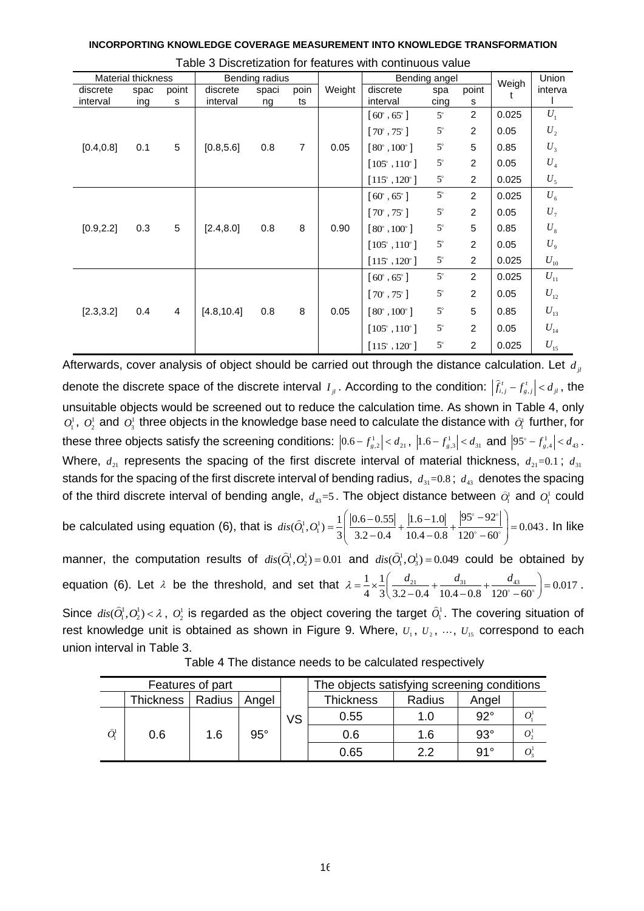|  | INCORPORTING KNOWLEDGE COVERAGE MEASUREMENT INTO KNOWLEDGE TRANSFORMATION |
|--|---------------------------------------------------------------------------|
|  |                                                                           |

|            | <b>Material thickness</b> |       |             | Bending radius |                |        |                              | Bending angel |                | Weigh | Union                       |
|------------|---------------------------|-------|-------------|----------------|----------------|--------|------------------------------|---------------|----------------|-------|-----------------------------|
| discrete   | spac                      | point | discrete    | spaci          | poin           | Weight | discrete                     | spa           | point          |       | interva                     |
| interval   | ing                       | s     | interval    | ng             | ts             |        | interval                     | cing          | s              |       |                             |
|            |                           |       |             |                |                |        | $[60^{\circ}, 65^{\circ}]$   | $5^\circ$     | $\overline{c}$ | 0.025 | $U_1$                       |
|            |                           |       |             |                |                |        | $[70^{\circ}, 75^{\circ}]$   | $5^{\circ}$   | $\overline{c}$ | 0.05  | $\boldsymbol{U}_{2}$        |
| [0.4, 0.8] | 0.1                       | 5     | [0.8, 5.6]  | 0.8            | $\overline{7}$ | 0.05   | $[80^{\circ}, 100^{\circ}]$  | $5^\circ$     | 5              | 0.85  | $U_3$                       |
|            |                           |       |             |                |                |        | $[105^{\circ}, 110^{\circ}]$ | $5^\circ$     | $\overline{c}$ | 0.05  | $U_{\scriptscriptstyle 4}$  |
|            |                           |       |             |                |                |        | $[115^{\circ}, 120^{\circ}]$ | $5^{\circ}$   | $\overline{c}$ | 0.025 | $U_5$                       |
|            |                           |       |             |                |                |        | $[60^\circ, 65^\circ]$       | $5^{\circ}$   | $\overline{c}$ | 0.025 | $U_{\scriptscriptstyle 6}$  |
|            |                           |       |             |                |                |        | $[70^{\circ}, 75^{\circ}]$   | $5^{\circ}$   | 2              | 0.05  | $U_7$                       |
| [0.9, 2.2] | 0.3                       | 5     | [2.4, 8.0]  | 0.8            | $\, 8$         | 0.90   | $[80^{\circ}, 100^{\circ}]$  | $5^\circ$     | 5              | 0.85  | $U_{\rm s}$                 |
|            |                           |       |             |                |                |        | $[105^{\circ}, 110^{\circ}]$ | $5^\circ$     | $\overline{c}$ | 0.05  | $U_{\rm 9}$                 |
|            |                           |       |             |                |                |        | $[115^{\circ}, 120^{\circ}]$ | $5^{\circ}$   | $\overline{2}$ | 0.025 | $U_{\scriptscriptstyle 10}$ |
|            |                           |       |             |                |                |        | $[60^{\circ}, 65^{\circ}]$   | $5^{\circ}$   | $\overline{2}$ | 0.025 | $U_{11}$                    |
|            |                           |       |             |                |                |        | $[70^{\circ}, 75^{\circ}]$   | $5^\circ$     | $\overline{a}$ | 0.05  | $U_{12}$                    |
| [2.3, 3.2] | 0.4                       | 4     | [4.8, 10.4] | 0.8            | 8              | 0.05   | $[80^{\circ}, 100^{\circ}]$  | $5^\circ$     | 5              | 0.85  | $U_{13}$                    |
|            |                           |       |             |                |                |        | $[105^{\circ}, 110^{\circ}]$ | $5^\circ$     | $\overline{2}$ | 0.05  | $U_{14}$                    |
|            |                           |       |             |                |                |        | $[115^{\circ}, 120^{\circ}]$ | $5^\circ$     | $\overline{2}$ | 0.025 | $U_{15}$                    |

Afterwards, cover analysis of object should be carried out through the distance calculation. Let  $d_{ji}$ denote the discrete space of the discrete interval  $I_{jl}$ . According to the condition:  $|\hat{f}^t_{i,j} - f^t_{s,j}| < d_{jl}$ , the unsuitable objects would be screened out to reduce the calculation time. As shown in Table 4, only  $O_1^1$ ,  $O_2^1$  and  $O_3^1$  three objects in the knowledge base need to calculate the distance with  $\partial_1^1$  further, for these three objects satisfy the screening conditions:  $|0.6 - f_{s,2}^1| < d_{21}$ ,  $|1.6 - f_{s,3}^1| < d_{31}$  and  $|95^\circ - f_{s,4}^1| < d_{43}$ . Where,  $d_{21}$  represents the spacing of the first discrete interval of material thickness,  $d_{21}$ =0.1;  $d_{31}$ stands for the spacing of the first discrete interval of bending radius,  $d_{31}=0.8$ ;  $d_{43}$  denotes the spacing of the third discrete interval of bending angle,  $d_{43}=5$ . The object distance between  $\hat{O}_1^1$  and  $O_1^1$  could

of the third discrete interval of bending angle,  $d_{43} = 5$ . The object distance between  $\hat{O}_1^1$  and  $\hat{O}_2^1$ <br>be calculated using equation (6), that is  $dis(\hat{O}_1^1, O_1^1) = \frac{1}{3} \left( \frac{|0.6 - 0.55|}{3.2 - 0.4} + \frac{|1.6 - 1.0|$ The object distance between  $\hat{O}_i^1$  and  $\hat{O}_i^0$  and  $\left( \frac{|0.6 - 0.55|}{\frac{1}{2} + |1.6 - 1.0|} + \frac{|95^{\circ} - 92^{\circ}|}{\frac{1}{2} - 0.043^{\circ}} \right)$  $= \frac{1}{3} \left( \frac{|0.6 - 0.55|}{3.2 - 0.4} + \frac{|1.6 - 1.0|}{10.4 - 0.8} + \frac{|95^{\circ} - 92^{\circ}|}{120^{\circ} - 60^{\circ}} \right) = 0.043$ . In like

manner, the computation results of  $dis(\hat{O}_1^1, O_2^1) = 0.01$  and  $dis(\hat{O}_1^1, O_3^1) = 0.049$  could be obtained by manner, the computation results of  $dis(O_1^1, O_2^1) = 0.01$  and  $dis(O_1^1, O_3^1) = 0.049$  could be obtained b<br>equation (6). Let  $\lambda$  be the threshold, and set that  $\lambda = \frac{1}{\lambda} \times \frac{1}{\lambda} \left( \frac{d_{21}}{2.2 \times 1} + \frac{d_{31}}{4.0 \times 10^{-9}}$  $\frac{1}{4} \times \frac{1}{3} \left( \frac{d_{21}}{3.2 - 0.4} + \frac{d_{31}}{10.4 - 0.8} + \frac{d_{43}}{120^{\circ} - 60} \right)$ and  $dis(Q_1^1, Q_3^1) = 0.049$  could be obtained b<br>  $\lambda = \frac{1}{4} \times \frac{1}{3} \left( \frac{d_{21}}{3.2 - 0.4} + \frac{d_{31}}{10.4 - 0.8} + \frac{d_{43}}{120^\circ - 60^\circ} \right) = 0.017$ . Since  $dis(\hat{O}_1^1, O_2^1) < \lambda$ ,  $O_2^1$  is regarded as the object covering the target  $\hat{O}_1^1$ . The covering situation of rest knowledge unit is obtained as shown in Figure 9. Where,  $U_1, U_2, \dots, U_{15}$  correspond to each

| Features of part  |                    |     |            |           | The objects satisfying screening conditions |        |            |  |
|-------------------|--------------------|-----|------------|-----------|---------------------------------------------|--------|------------|--|
|                   | Thickness   Radius |     | Angel      |           | <b>Thickness</b>                            | Radius | Angel      |  |
|                   |                    |     |            | <b>VS</b> | 0.55                                        | 1.0    | $92^\circ$ |  |
| $\widehat{O}^!_1$ | 0.6                | 1.6 | $95^\circ$ |           | 0.6                                         | 1.6    | $93^\circ$ |  |
|                   |                    |     |            |           | 0.65                                        | っっ     | 91°        |  |

union interval in Table 3.

Table 4 The distance needs to be calculated respectively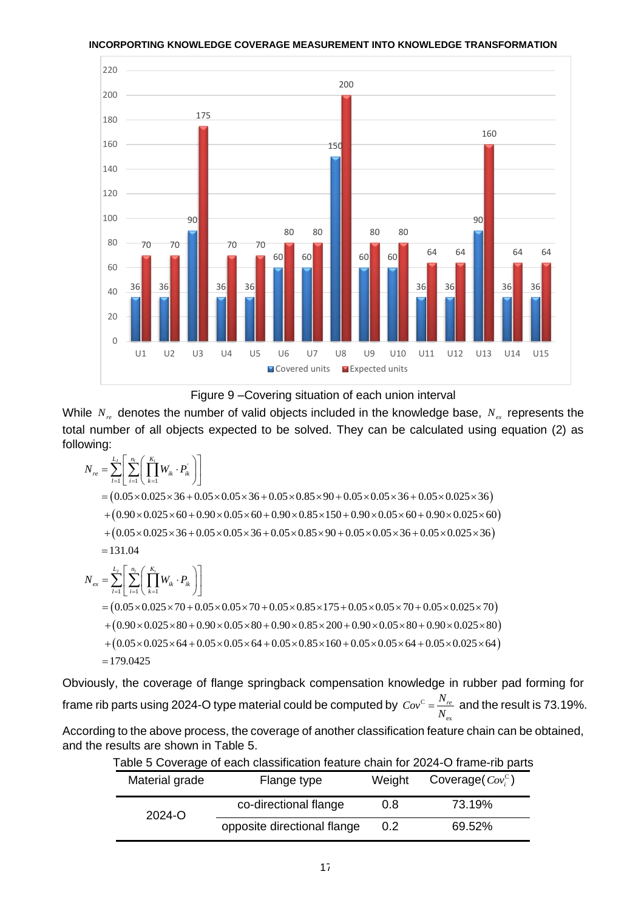

Figure 9 –Covering situation of each union interval

While  $N_{re}$  denotes the number of valid objects included in the knowledge base,  $N_{ex}$  represents the total number of all objects expected to be solved. They can be calculated using equation (2) as following:  $L_j \left[ \frac{n_l}{\sum_{i=1}^{N}} \left( \frac{K_i}{\sum_{i=1}^{N}} \right) \right]$  $V_{re}$  denotes the number of values of values of all objects expected<br>g:<br> $= \sum_{i=1}^{L_j} \left[ \sum_{i=1}^{n_i} \left( \prod_{k=1}^{K_i} W_{ik} \cdot P_{ik} \right) \right]$ 

 $\left(0.05\times0.025\times36+0.05\times0.05\times36+0.05\times0.85\times90+0.05\times0.05\times36+0.05\times0.025\times36\right)$  $(0.90\times0.025\times60+0.90\times0.05\times60+0.90\times0.85\times150+0.90\times0.05\times60+0.90\times0.025\times60)$  $\sum_{i=1}^r \left[ \sum_{i=1}^{n_i} \left( \prod_{k=1}^{K_i} \right) \right]$  $\sum_{n=1}^{n_f} \left[ \sum_{i=1}^{n_i} \left( \prod_{k=1}^{K_i} W_{ik} \cdot P_{ik} \right) \right]$ <br>  $0.05 \times 0.025 \times 36 + 0.05 \times 0.05 \times 36 + 0.05 \times 0.85 \times 90 + 0.05 \times 0.05 \times 36 + 0.05 \times 0.025 \times 36$  $\begin{aligned} &\frac{1}{2} \sum_{i=1}^{3} \left[ \sum_{i=1}^{3} \left( \prod_{k=1}^{4} W_{ik}^{k} \cdot T_{ik}^{k} \right) \right] \\ & = \left( 0.05 \times 0.025 \times 36 + 0.05 \times 0.05 \times 36 + 0.05 \times 0.85 \times 90 + 0.05 \times 0.05 \times 36 + 0.05 \times 0.025 \times 36 \right) \\ & + \left( 0.90 \times 0.025 \times 60 + 0.90 \times 0.05 \times 60 + 0.90 \$  $0.05 \times 0.025 \times 36 + 0.05 \times 0.025$ <br>  $0.90 \times 0.025 \times 60 + 0.90 \times 0.025 \times 36 + 0.05 \times 0.025$  $r_{\text{avg}}$ <br> *N*<sub>re</sub> =  $\sum_{l=1}^{L_j} \Biggl[ \sum_{i=1}^{n_l} \Biggl( \prod_{k=1}^{K_i} W_{ik} \cdot P_{ik} \Biggr)$ = $\sum_{l=1}^{L_j} \left[ \sum_{i=1}^{n_l} \left( \prod_{k=1}^{K_i} W_{ik} \cdot P_{ik} \right) \right]$ <br>=  $(0.05 \times 0.025 \times 36 + 0.05 \times 0.05 \times 36 + 0.05 \times 0.85 \times 90 + 0.05 \times 0.05 \times 36 + 0.05 \times 0.025 \times 36)$  $=(0.05 \times 0.025 \times 36 + 0.05 \times 0.05 \times 36 + 0.$ <br>+  $(0.90 \times 0.025 \times 60 + 0.90 \times 0.05 \times 60 + 0.05 \times 60 + 0.05 \times 0.025 \times 36 + 0.05 \times 0.05 \times 36 + 0.05 \times 0.05 \times 36 + 0.05 \times 0.05 \times 36 + 0.05 \times 0.05 \times 36 + 0.05 \times 0.05 \times 36 + 0.05 \times 36 + 0.05 \times$  $(0.05 \times 0.025 \times 36 + 0.05 \times 0.05 \times 36 + 0.05 \times 0.85 \times 90 + 0.05 \times 0.05 \times 36 + 0.05 \times 0.025 \times 36)$ <br>  $(0.90 \times 0.025 \times 60 + 0.90 \times 0.05 \times 60 + 0.90 \times 0.85 \times 150 + 0.90 \times 0.05 \times 60 + 0.90 \times 0.025 \times 60)$ <br>  $(0.05 \times 0.025 \times 36 + 0.05 \times$  $= 131.04$  $(0.05\times0.025\times70+0.05\times0.05\times70+0.05\times0.85\times175+0.05\times0.05\times70+0.05\times0.025\times70)$  $+(0.90\times0.025\times80+0.90\times0.05\times80+0.90\times0.85\times200+0.90\times0.05\times80+0.90\times0.025\times80)$  $\sum_{i=1}^r \left[ \sum_{i=1}^{n_i} \left( \prod_{k=1}^{K_i} \right) \right]$  $\sum_{n=1}^{L_y} \left[ \sum_{i=1}^{n_i} \left( \prod_{k=1}^{K_i} W_{ik} \cdot P_{ik} \right) \right]$ <br>  $0.05 \times 0.025 \times 70 + 0.05 \times 0.05 \times 70 + 0.05 \times 0.85 \times 175 + 0.05 \times 0.05 \times 70 + 0.05 \times 0.025 \times 70$  $\begin{aligned} \left[ \sum_{i=1}^{N} \left( \prod_{k=1}^{N} W_{ik}^{k-1} i^{k} \right) \right] \ & 0.05 \times 0.025 \times 70 + 0.05 \times 0.05 \times 70 + 0.05 \times 0.85 \times 175 + 0.05 \times 0.05 \times 70 + 0.05 \times 0.025 \times 70 \right) \ & 0.90 \times 0.025 \times 80 + 0.90 \times 0.05 \times 80 + 0.90 \times 0.85 \times 200 + 0.90 \times 0.05 \times$  $0.05 \times 0.025 \times 70 + 0.05 \times 0.02$ <br>  $0.90 \times 0.025 \times 80 + 0.90 \times 0.02$ <br>  $0.05 \times 0.025 \times 64 + 0.05 \times 0.02$  $\frac{L_j}{\sum_{i=1}^{L_j} \left[\sum_{i=1}^{n_i} \left(\frac{K_i}{\sum_{i=1}^{L_j} K_i}\right)\right]}$  $P = 131.04$ <br>  $N_{ex} = \sum_{l=1}^{L_f} \left[ \sum_{i=1}^{n_l} \left( \prod_{k=1}^{K_i} W_{ik} \cdot P_{ik} \right) \right]$ +(0.90×0.025×60+0.90×0.05×6<br>+(0.05×0.025×36+0.05×0.05×3<br>= 131.04<br>=  $\sum_{i=1}^{L_j} \left[ \sum_{i=1}^{n_i} \left( \prod_{k=1}^{K_i} W_{ik} \cdot P_{ik} \right) \right]$ = $\sum_{l=1}^{L_j} \left[ \sum_{i=1}^{n_l} \left( \prod_{k=1}^{K_i} W_{ik} \cdot P_{ik} \right) \right]$ <br>=  $(0.05 \times 0.025 \times 70 + 0.05 \times 0.05 \times 70 + 0.05 \times 0.85 \times 175 + 0.05 \times 0.05 \times 70 + 0.05 \times 0.025 \times 70)$  $-\sum_{l=1}^{\infty} \left[ \sum_{i=1}^{\infty} \left( \prod_{k=1}^{N_{ik}} W_{ik}^{*T_{ik}} \right) \right]$ <br>=  $(0.05 \times 0.025 \times 70 + 0.05 \times 0.05 \times 70 + 0.05 \times 0.85 \times 175 + 0.05 \times 0.05 \times 70 + 0.05 \times 0.025 \times 70)$ <br>+  $(0.90 \times 0.025 \times 80 + 0.90 \times 0.05 \times 80 + 0.90 \times 0.85 \times 200 + 0.$  $=(0.05 \times 0.025 \times 70 + 0.05 \times 0.05 \times 70 + 0.05 \times 0.85 \times 175 + 0.05 \times 0.05 \times 70 + 0.05 \times 0.025 \times 70)$ <br>  $+(0.90 \times 0.025 \times 80 + 0.90 \times 0.05 \times 80 + 0.90 \times 0.85 \times 200 + 0.90 \times 0.05 \times 80 + 0.90 \times 0.025 \times 80)$ <br>  $+(0.05 \times 0.025 \times 64 + 0.05 \times$ 

 $=179.0425$ 

Obviously, the coverage of flange springback compensation knowledge in rubber pad forming for frame rib parts using 2024-O type material could be computed by  $\,\,{{\cal C}\!{\it o}}^{\rm c}$ ex  $Cov^C = \frac{N_{re}}{N_{ex}}$  $=\frac{N_{re}}{N_{e}}$  and the result is 73.19%.

According to the above process, the coverage of another classification feature chain can be obtained, and the results are shown in Table 5.

| Material grade | Flange type                 | Weight | Coverage $Cov_i^c$ ) |
|----------------|-----------------------------|--------|----------------------|
| $2024 - 0$     | co-directional flange       | 0.8    | 73.19%               |
|                | opposite directional flange | 0.2    | 69.52%               |

| Table 5 Coverage of each classification feature chain for 2024-O frame-rib parts |  |  |
|----------------------------------------------------------------------------------|--|--|
|----------------------------------------------------------------------------------|--|--|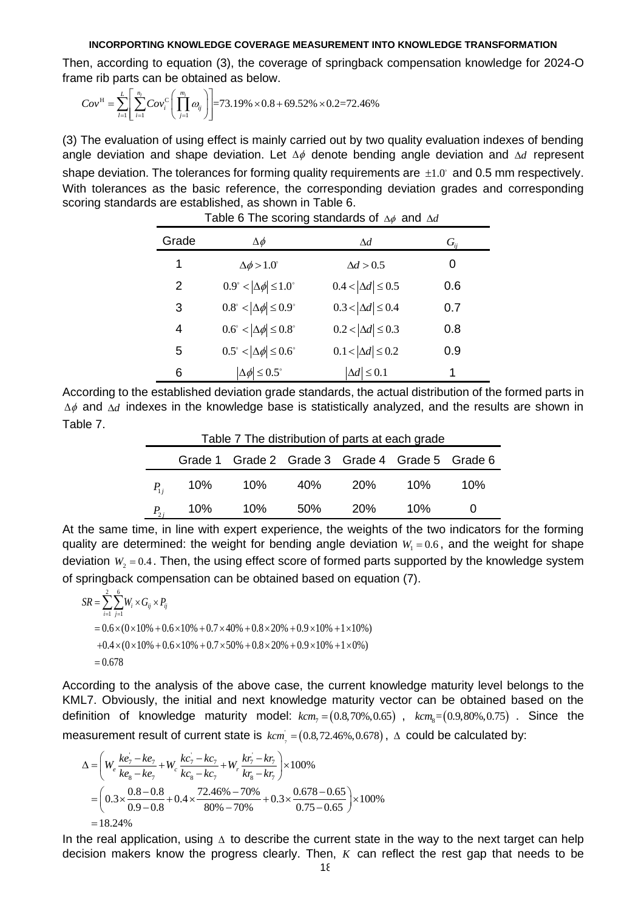Then, according to equation (3), the coverage of springback compensation knowledge for 2024-O<br>
frame rib parts can be obtained as below.<br>  $Cov^H = \sum_{l=1}^{L} \left[ \sum_{i=1}^{n_l} Cov_i^c \left( \prod_{j=1}^{m_l} \omega_{ij} \right) \right] = 73.19\% \times 0.8 + 69.52\%$ 

frame rib parts can be obtained as below.  
\n
$$
Cov^H = \sum_{l=1}^{L} \left[ \sum_{i=1}^{n_l} Cov_i^c \left( \prod_{j=1}^{m_l} \omega_{ij} \right) \right] = 73.19\% \times 0.8 + 69.52\% \times 0.2 = 72.46\%
$$

(3) The evaluation of using effect is mainly carried out by two quality evaluation indexes of bending angle deviation and shape deviation. Let  $\Delta\phi$  denote bending angle deviation and  $\Delta d$  represent shape deviation. The tolerances for forming quality requirements are  $\pm 1.0^{\circ}$  and 0.5 mm respectively. With tolerances as the basic reference, the corresponding deviation grades and corresponding scoring standards are established, as shown in Table 6.

| Grade         | $\Delta \phi$                                  | $\Lambda d$                 | $G_{ii}$ |
|---------------|------------------------------------------------|-----------------------------|----------|
| 1             | $\Delta\phi > 1.0^{\circ}$                     | $\Delta d > 0.5$            | 0        |
| $\mathcal{P}$ | $0.9^\circ <  \Delta \phi  \leq 1.0^\circ$     | $0.4 <  \Delta d  \leq 0.5$ | 0.6      |
| 3             | $0.8^\circ <  \Delta \phi  \leq 0.9^\circ$     | $0.3 <  \Delta d  \leq 0.4$ | 0.7      |
| 4             | $0.6^\circ <  \Delta \phi  \leq 0.8^\circ$     | $0.2 <  \Delta d  \leq 0.3$ | 0.8      |
| 5             | $0.5^{\circ} <  \Delta \phi  \leq 0.6^{\circ}$ | $0.1 <  \Delta d  \leq 0.2$ | 0.9      |
| 6             | $\Delta\phi$ $\leq$ 0.5°                       | $\Delta d \leq 0.1$         | 1        |

Table 6 The scoring standards of  $\Delta\phi$  and  $\Delta d$ 

According to the established deviation grade standards, the actual distribution of the formed parts in  $\Delta \phi$  and  $\Delta d$  indexes in the knowledge base is statistically analyzed, and the results are shown in Table 7.

| Table 7 The distribution of parts at each grade |                              |                                                 |  |  |     |       |  |  |
|-------------------------------------------------|------------------------------|-------------------------------------------------|--|--|-----|-------|--|--|
|                                                 |                              | Grade 1 Grade 2 Grade 3 Grade 4 Grade 5 Grade 6 |  |  |     |       |  |  |
|                                                 |                              | $P_{1i}$ 10% 10% 40% 20%                        |  |  | 10% | - 10% |  |  |
|                                                 | $P_{2i}$ 10% 10% 50% 20% 10% |                                                 |  |  |     |       |  |  |

At the same time, in line with expert experience, the weights of the two indicators for the forming quality are determined: the weight for bending angle deviation  $W_1 = 0.6$ , and the weight for shape deviation  $W_2 = 0.4$ . Then, the using effect score of formed parts supported by the knowledge system of springback compensation can be obtained based on equation (7). gba<br>≟ิ <del>∖</del>

iation  $W_2 = 0.4$ . Then,<br>pringback compensat<br> $SR = \sum_{i=1}^{2} \sum_{j=1}^{6} W_i \times G_{ij} \times P_{ij}$ =  $\sum_{i=1}^{\infty} \sum_{j=1}^{\infty} W_i \times G_{ij} \times P_{ij}$ <br>=  $0.6 \times (0 \times 10\% + 0.6 \times 10\% + 0.7 \times 40\% + 0.8 \times 20\% + 0.9 \times 10\% + 1 \times 10\%)$  $0.6 \times (0 \times 10\% + 0.6 \times 10\% + 0.7 \times 40\% + 0.8 \times 20\% + 0.9 \times 10\% + 1 \times 10\%)$ <br>+ $0.4 \times (0 \times 10\% + 0.6 \times 10\% + 0.7 \times 50\% + 0.8 \times 20\% + 0.9 \times 10\% + 1 \times 0\%)$  $= 0.678$ 

According to the analysis of the above case, the current knowledge maturity level belongs to the KML7. Obviously, the initial and next knowledge maturity vector can be obtained based on the definition of knowledge maturity model:  $kcm_7 = (0.8, 70\%, 0.65)$ ,  $kcm_8 = (0.9, 80\%, 0.75)$ . Since the measurement result of current state is  $kcm$ <sub>7</sub> =  $(0.8, 72.46\%, 0.678)$ it result of current state is  $kcm$ <sub>,</sub> =  $(0.8, 72.46\%, 0.678)$ ,  $\Delta$  could be calculated by:<br>  $kca = kca$ ,  $kca = kca$ ,  $kca = kca$ ,  $kca = kca$ ,  $kca = kca$ 

$$
\begin{aligned}\n\text{asurement result of current state is } & \text{km}^{\prime} = (0.8, 72.46\%, 0.678), \\
\Delta &= \left( W_e \frac{ke_7 - ke_7}{ke_8 - ke_7} + W_e \frac{kc_7 - kc_7}{kc_8 - kc_7} + W_r \frac{kr_7 - kr_7}{kr_8 - kr_7} \right) \times 100\% \\
&= \left( 0.3 \times \frac{0.8 - 0.8}{0.9 - 0.8} + 0.4 \times \frac{72.46\% - 70\%}{80\% - 70\%} + 0.3 \times \frac{0.678 - 0.65}{0.75 - 0.65} \right) \times 100\% \\
&= 18.24\%\n\end{aligned}
$$

In the real application, using  $\Delta$  to describe the current state in the way to the next target can help decision makers know the progress clearly. Then, *K* can reflect the rest gap that needs to be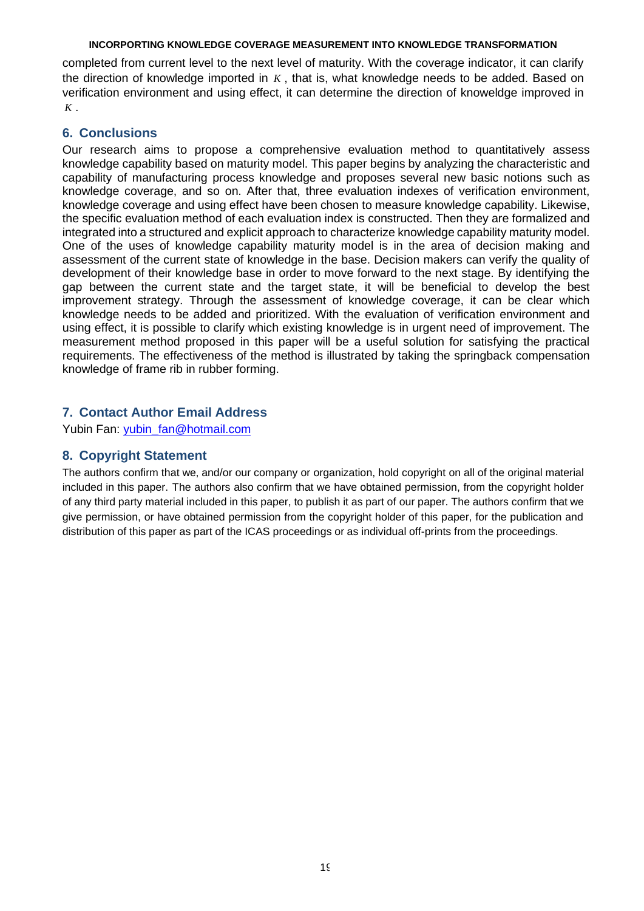completed from current level to the next level of maturity. With the coverage indicator, it can clarify the direction of knowledge imported in K, that is, what knowledge needs to be added. Based on verification environment and using effect, it can determine the direction of knoweldge improved in *K* .

## **6. Conclusions**

Our research aims to propose a comprehensive evaluation method to quantitatively assess knowledge capability based on maturity model. This paper begins by analyzing the characteristic and capability of manufacturing process knowledge and proposes several new basic notions such as knowledge coverage, and so on. After that, three evaluation indexes of verification environment, knowledge coverage and using effect have been chosen to measure knowledge capability. Likewise, the specific evaluation method of each evaluation index is constructed. Then they are formalized and integrated into a structured and explicit approach to characterize knowledge capability maturity model. One of the uses of knowledge capability maturity model is in the area of decision making and assessment of the current state of knowledge in the base. Decision makers can verify the quality of development of their knowledge base in order to move forward to the next stage. By identifying the gap between the current state and the target state, it will be beneficial to develop the best improvement strategy. Through the assessment of knowledge coverage, it can be clear which knowledge needs to be added and prioritized. With the evaluation of verification environment and using effect, it is possible to clarify which existing knowledge is in urgent need of improvement. The measurement method proposed in this paper will be a useful solution for satisfying the practical requirements. The effectiveness of the method is illustrated by taking the springback compensation knowledge of frame rib in rubber forming.

# **7. Contact Author Email Address**

Yubin Fan: [yubin\\_fan@hotmail.com](mailto:yubin_fan@hotmail.com)

# **8. Copyright Statement**

The authors confirm that we, and/or our company or organization, hold copyright on all of the original material included in this paper. The authors also confirm that we have obtained permission, from the copyright holder of any third party material included in this paper, to publish it as part of our paper. The authors confirm that we give permission, or have obtained permission from the copyright holder of this paper, for the publication and distribution of this paper as part of the ICAS proceedings or as individual off-prints from the proceedings.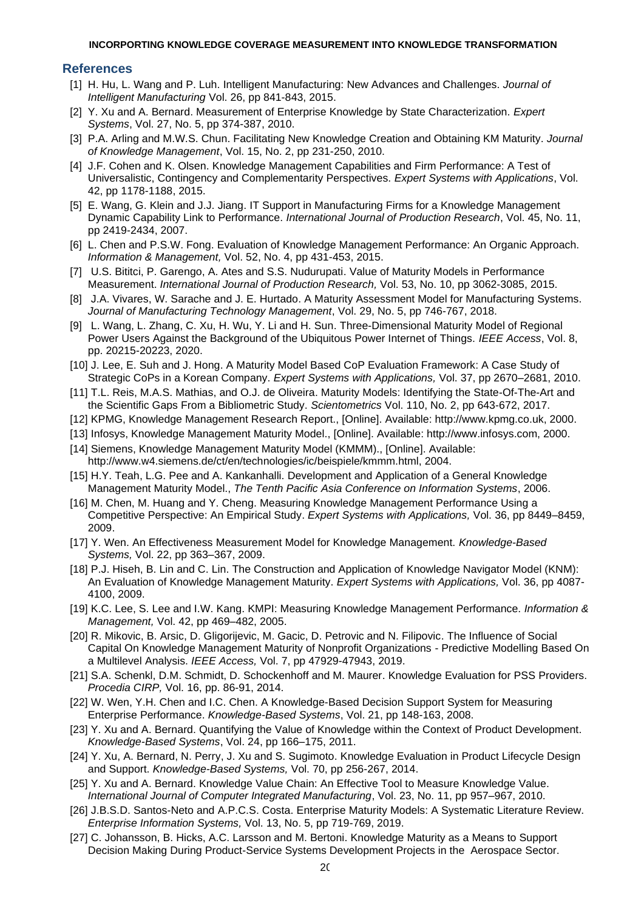### **References**

- [1] H. Hu, L. Wang and P. Luh. Intelligent Manufacturing: New Advances and Challenges. *Journal of Intelligent Manufacturing* Vol. 26, pp 841-843, 2015.
- [2] Y. Xu and A. Bernard. Measurement of Enterprise Knowledge by State Characterization. *Expert Systems*, Vol. 27, No. 5, pp 374-387, 2010.
- [3] P.A. Arling and M.W.S. Chun. Facilitating New Knowledge Creation and Obtaining KM Maturity. *Journal of Knowledge Management*, Vol. 15, No. 2, pp 231-250, 2010.
- [4] J.F. Cohen and K. Olsen. Knowledge Management Capabilities and Firm Performance: A Test of Universalistic, Contingency and Complementarity Perspectives. *Expert Systems with Applications*, Vol. 42, pp 1178-1188, 2015.
- [5] E. Wang, G. Klein and J.J. Jiang. IT Support in Manufacturing Firms for a Knowledge Management Dynamic Capability Link to Performance. *International Journal of Production Research*, Vol. 45, No. 11, pp 2419-2434, 2007.
- [6] L. Chen and P.S.W. Fong. Evaluation of Knowledge Management Performance: An Organic Approach. *Information & Management,* Vol. 52, No. 4, pp 431-453, 2015.
- [7] U.S. Bititci, P. Garengo, A. Ates and S.S. Nudurupati. Value of Maturity Models in Performance Measurement. *International Journal of Production Research,* Vol. 53, No. 10, pp 3062-3085, 2015.
- [8] J.A. Vivares, W. Sarache and J. E. Hurtado. A Maturity Assessment Model for Manufacturing Systems. *Journal of Manufacturing Technology Management*, Vol. 29, No. 5, pp 746-767, 2018.
- [9] L. Wang, L. Zhang, C. Xu, H. Wu, Y. Li and H. Sun. Three-Dimensional Maturity Model of Regional Power Users Against the Background of the Ubiquitous Power Internet of Things. *IEEE Access*, Vol. 8, pp. 20215-20223, 2020.
- [10] J. Lee, E. Suh and J. Hong. A Maturity Model Based CoP Evaluation Framework: A Case Study of Strategic CoPs in a Korean Company. *Expert Systems with Applications,* Vol. 37, pp 2670–2681, 2010.
- [11] T.L. Reis, M.A.S. Mathias, and O.J. de Oliveira. Maturity Models: Identifying the State-Of-The-Art and the Scientific Gaps From a Bibliometric Study. *Scientometrics* Vol. 110, No. 2, pp 643-672, 2017.
- [12] KPMG, Knowledge Management Research Report., [Online]. Available: http://www.kpmg.co.uk, 2000.
- [13] Infosys, Knowledge Management Maturity Model., [Online]. Available: http://www.infosys.com, 2000.
- [14] Siemens, Knowledge Management Maturity Model (KMMM)., [Online]. Available:
- http://www.w4.siemens.de/ct/en/technologies/ic/beispiele/kmmm.html, 2004.
- [15] H.Y. Teah, L.G. Pee and A. Kankanhalli. Development and Application of a General Knowledge Management Maturity Model., *The Tenth Pacific Asia Conference on Information Systems*, 2006.
- [16] M. Chen, M. Huang and Y. Cheng. Measuring Knowledge Management Performance Using a Competitive Perspective: An Empirical Study. *Expert Systems with Applications,* Vol. 36, pp 8449–8459, 2009.
- [17] Y. Wen. An Effectiveness Measurement Model for Knowledge Management. *Knowledge-Based Systems,* Vol. 22, pp 363–367, 2009.
- [18] P.J. Hiseh, B. Lin and C. Lin. The Construction and Application of Knowledge Navigator Model (KNM): An Evaluation of Knowledge Management Maturity. *Expert Systems with Applications,* Vol. 36, pp 4087- 4100, 2009.
- [19] K.C. Lee, S. Lee and I.W. Kang. KMPI: Measuring Knowledge Management Performance. *Information & Management,* Vol. 42, pp 469–482, 2005.
- [20] R. Mikovic, B. Arsic, D. Gligorijevic, M. Gacic, D. Petrovic and N. Filipovic. The Influence of Social Capital On Knowledge Management Maturity of Nonprofit Organizations - Predictive Modelling Based On a Multilevel Analysis. *IEEE Access,* Vol. 7, pp 47929-47943, 2019.
- [21] S.A. Schenkl, D.M. Schmidt, D. Schockenhoff and M. Maurer. Knowledge Evaluation for PSS Providers. *Procedia CIRP,* Vol. 16, pp. 86-91, 2014.
- [22] W. Wen, Y.H. Chen and I.C. Chen. A Knowledge-Based Decision Support System for Measuring Enterprise Performance. *Knowledge-Based Systems*, Vol. 21, pp 148-163, 2008.
- [23] Y. Xu and A. Bernard. Quantifying the Value of Knowledge within the Context of Product Development. *Knowledge-Based Systems*, Vol. 24, pp 166–175, 2011.
- [24] Y. Xu, A. Bernard, N. Perry, J. Xu and S. Sugimoto. Knowledge Evaluation in Product Lifecycle Design and Support. *Knowledge-Based Systems,* Vol. 70, pp 256-267, 2014.
- [25] Y. Xu and A. Bernard. Knowledge Value Chain: An Effective Tool to Measure Knowledge Value. *International Journal of Computer Integrated Manufacturing*, Vol. 23, No. 11, pp 957–967, 2010.
- [26] J.B.S.D. Santos-Neto and A.P.C.S. Costa. Enterprise Maturity Models: A Systematic Literature Review. *Enterprise Information Systems,* Vol. 13, No. 5, pp 719-769, 2019.
- [27] C. Johansson, B. Hicks, A.C. Larsson and M. Bertoni. Knowledge Maturity as a Means to Support Decision Making During Product-Service Systems Development Projects in the Aerospace Sector.